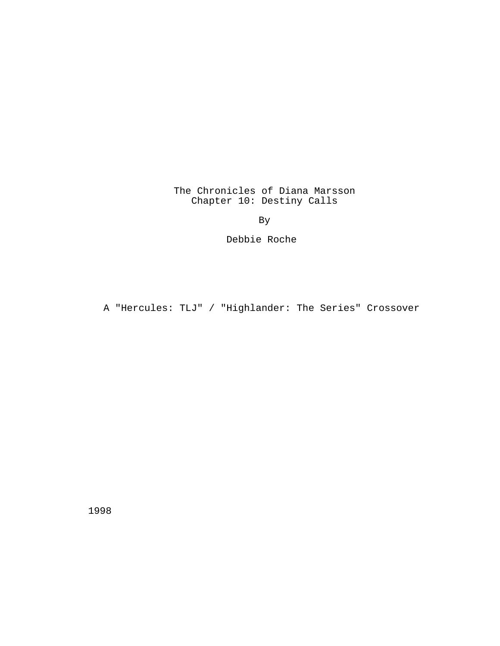The Chronicles of Diana Marsson Chapter 10: Destiny Calls

By

Debbie Roche

A "Hercules: TLJ" / "Highlander: The Series" Crossover

1998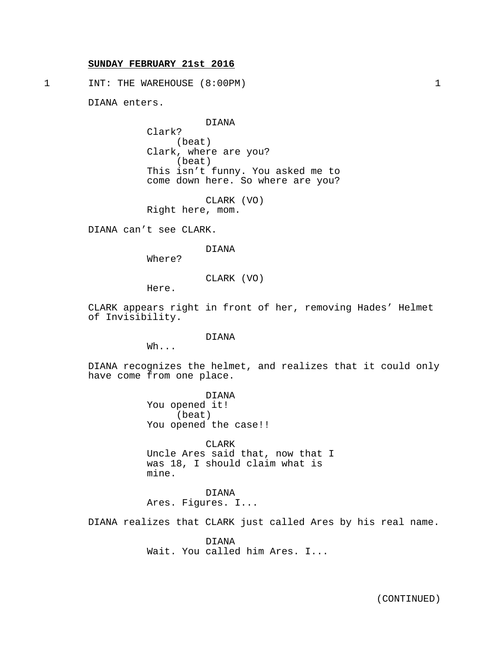## **SUNDAY FEBRUARY 21st 2016**

1 INT: THE WAREHOUSE (8:00PM) 1

DIANA enters.

DIANA

Clark? (beat) Clark, where are you? (beat) This isn't funny. You asked me to come down here. So where are you?

CLARK (VO) Right here, mom.

DIANA can't see CLARK.

DIANA

Where?

CLARK (VO)

Here.

CLARK appears right in front of her, removing Hades' Helmet of Invisibility.

DIANA

Wh...

DIANA recognizes the helmet, and realizes that it could only have come from one place.

> DIANA You opened it! (beat) You opened the case!!

CLARK Uncle Ares said that, now that I was 18, I should claim what is mine.

## DIANA

Ares. Figures. I...

DIANA realizes that CLARK just called Ares by his real name.

DIANA Wait. You called him Ares. I...

(CONTINUED)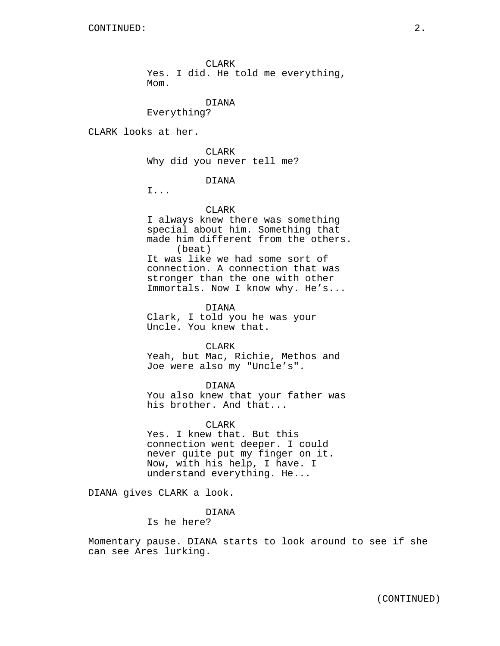CLARK Yes. I did. He told me everything, Mom.

## DIANA

Everything?

CLARK looks at her.

CLARK Why did you never tell me?

## DIANA

I...

### CLARK

I always knew there was something special about him. Something that made him different from the others. (beat) It was like we had some sort of connection. A connection that was stronger than the one with other Immortals. Now I know why. He's...

DIANA

Clark, I told you he was your Uncle. You knew that.

CLARK

Yeah, but Mac, Richie, Methos and Joe were also my "Uncle's".

DIANA

You also knew that your father was his brother. And that...

**CLARK** 

Yes. I knew that. But this connection went deeper. I could never quite put my finger on it. Now, with his help, I have. I understand everything. He...

DIANA gives CLARK a look.

DIANA Is he here?

Momentary pause. DIANA starts to look around to see if she can see Ares lurking.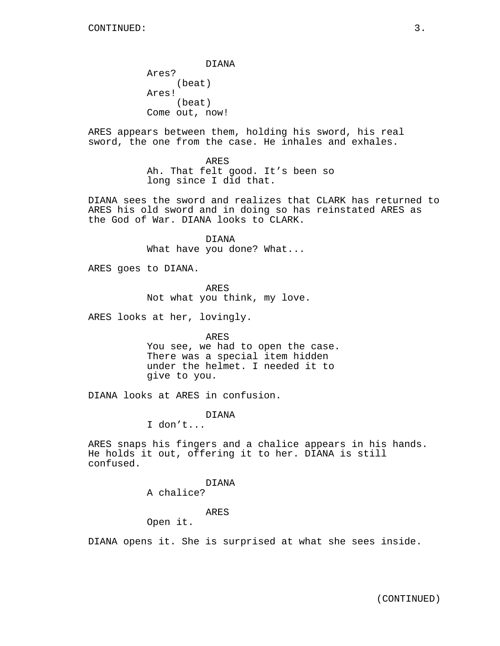DIANA Ares? (beat) Ares! (beat) Come out, now!

ARES appears between them, holding his sword, his real sword, the one from the case. He inhales and exhales.

> ARES Ah. That felt good. It's been so long since I did that.

DIANA sees the sword and realizes that CLARK has returned to ARES his old sword and in doing so has reinstated ARES as the God of War. DIANA looks to CLARK.

> DIANA What have you done? What...

ARES goes to DIANA.

ARES Not what you think, my love.

ARES looks at her, lovingly.

ARES

You see, we had to open the case. There was a special item hidden under the helmet. I needed it to give to you.

DIANA looks at ARES in confusion.

DIANA

I don't...

ARES snaps his fingers and a chalice appears in his hands. He holds it out, offering it to her. DIANA is still confused.

> DIANA A chalice?

> > ARES

Open it.

DIANA opens it. She is surprised at what she sees inside.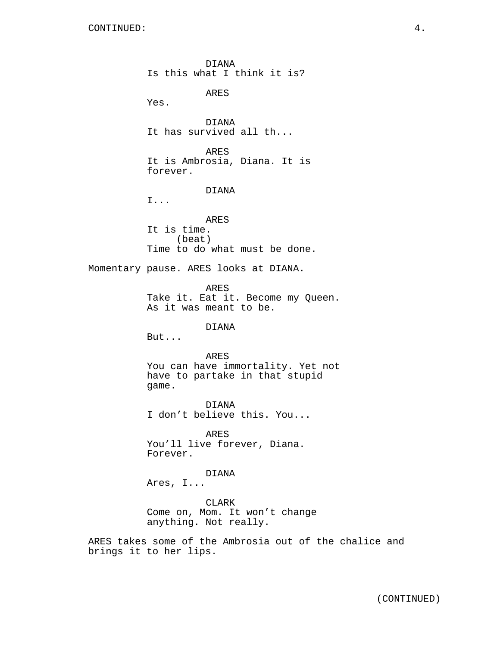DIANA Is this what I think it is? ARES Yes. DIANA It has survived all th... ARES It is Ambrosia, Diana. It is forever. DIANA I... ARES It is time. (beat) Time to do what must be done. Momentary pause. ARES looks at DIANA. ARES Take it. Eat it. Become my Queen. As it was meant to be. DIANA But... ARES You can have immortality. Yet not have to partake in that stupid game. DIANA I don't believe this. You... ARES You'll live forever, Diana. Forever. DIANA Ares, I... CLARK Come on, Mom. It won't change anything. Not really.

ARES takes some of the Ambrosia out of the chalice and brings it to her lips.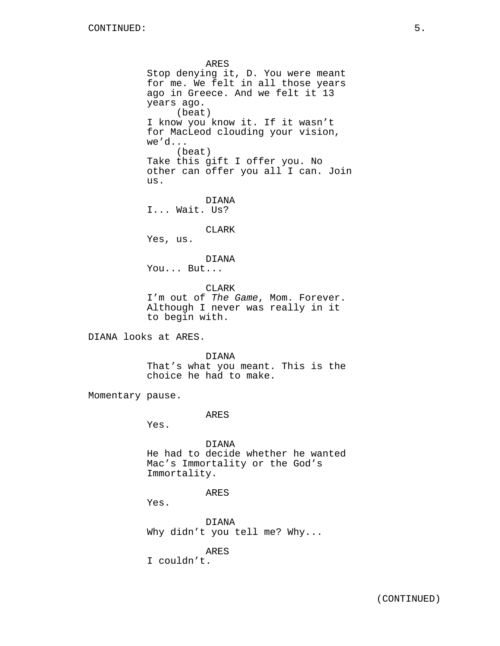ARES Stop denying it, D. You were meant for me. We felt in all those years ago in Greece. And we felt it 13 years ago. (beat) I know you know it. If it wasn't for MacLeod clouding your vision, we'd... (beat) Take this gift I offer you. No other can offer you all I can. Join us. DIANA I... Wait. Us? CLARK Yes, us. DIANA You... But... CLARK I'm out of The Game, Mom. Forever. Although I never was really in it to begin with. DIANA looks at ARES. DIANA That's what you meant. This is the choice he had to make. Momentary pause. ARES Yes. DIANA He had to decide whether he wanted Mac's Immortality or the God's Immortality. ARES Yes. DIANA Why didn't you tell me? Why... ARES

I couldn't.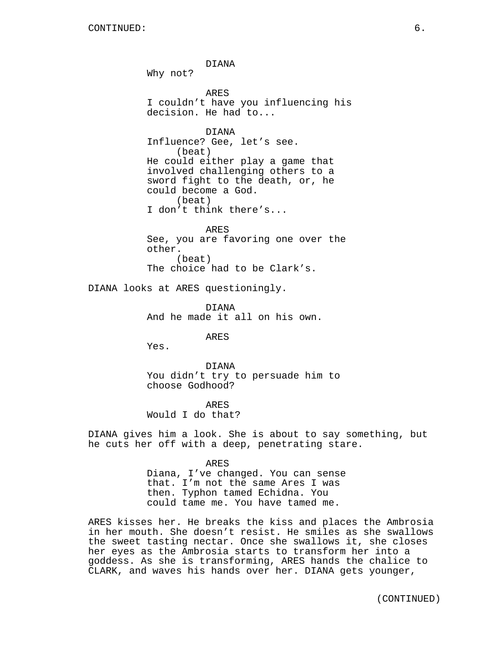DIANA

Why not?

ARES I couldn't have you influencing his decision. He had to...

DIANA Influence? Gee, let's see. (beat) He could either play a game that involved challenging others to a sword fight to the death, or, he could become a God. (beat) I don't think there's...

ARES See, you are favoring one over the other. (beat) The choice had to be Clark's.

DIANA looks at ARES questioningly.

DIANA And he made it all on his own.

ARES

Yes.

DIANA You didn't try to persuade him to choose Godhood?

ARES Would I do that?

DIANA gives him a look. She is about to say something, but he cuts her off with a deep, penetrating stare.

> ARES Diana, I've changed. You can sense that. I'm not the same Ares I was then. Typhon tamed Echidna. You could tame me. You have tamed me.

ARES kisses her. He breaks the kiss and places the Ambrosia in her mouth. She doesn't resist. He smiles as she swallows the sweet tasting nectar. Once she swallows it, she closes her eyes as the Ambrosia starts to transform her into a goddess. As she is transforming, ARES hands the chalice to CLARK, and waves his hands over her. DIANA gets younger,

(CONTINUED)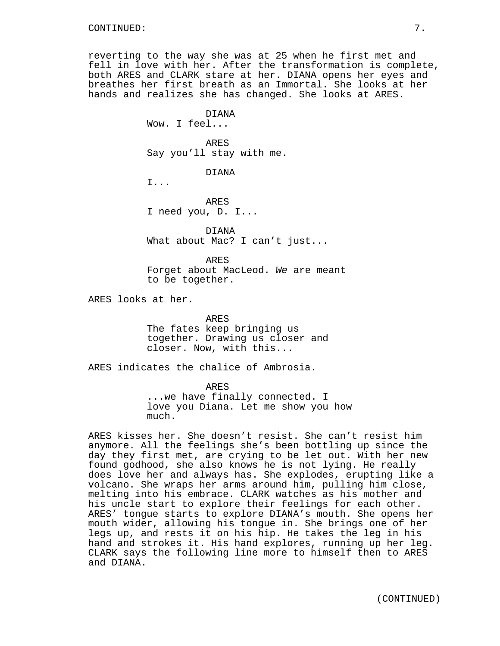reverting to the way she was at 25 when he first met and fell in love with her. After the transformation is complete, both ARES and CLARK stare at her. DIANA opens her eyes and breathes her first breath as an Immortal. She looks at her hands and realizes she has changed. She looks at ARES.

> DIANA Wow. I feel...

ARES Say you'll stay with me.

DIANA

I...

ARES I need you, D. I...

DIANA What about Mac? I can't just...

ARES Forget about MacLeod. We are meant to be together.

ARES looks at her.

ARES The fates keep bringing us together. Drawing us closer and closer. Now, with this...

ARES indicates the chalice of Ambrosia.

ARES ...we have finally connected. I love you Diana. Let me show you how much.

ARES kisses her. She doesn't resist. She can't resist him anymore. All the feelings she's been bottling up since the day they first met, are crying to be let out. With her new found godhood, she also knows he is not lying. He really does love her and always has. She explodes, erupting like a volcano. She wraps her arms around him, pulling him close, melting into his embrace. CLARK watches as his mother and his uncle start to explore their feelings for each other. ARES' tongue starts to explore DIANA's mouth. She opens her mouth wider, allowing his tongue in. She brings one of her legs up, and rests it on his hip. He takes the leg in his hand and strokes it. His hand explores, running up her leg. CLARK says the following line more to himself then to ARES and DIANA.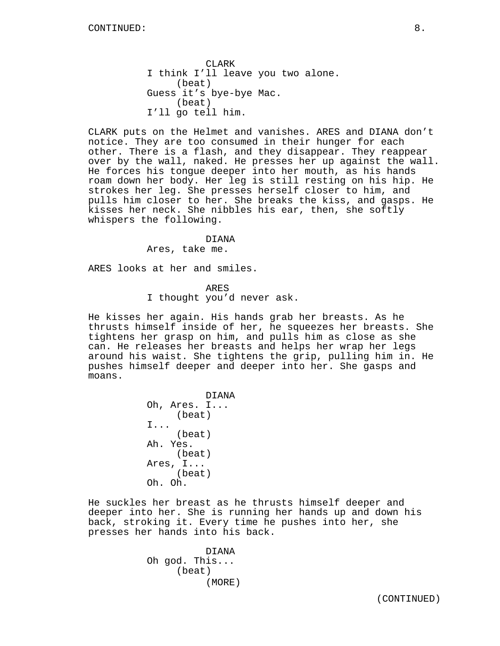CLARK I think I'll leave you two alone. (beat) Guess it's bye-bye Mac. (beat) I'll go tell him.

CLARK puts on the Helmet and vanishes. ARES and DIANA don't notice. They are too consumed in their hunger for each other. There is a flash, and they disappear. They reappear over by the wall, naked. He presses her up against the wall. He forces his tongue deeper into her mouth, as his hands roam down her body. Her leg is still resting on his hip. He strokes her leg. She presses herself closer to him, and pulls him closer to her. She breaks the kiss, and gasps. He kisses her neck. She nibbles his ear, then, she softly whispers the following.

#### DIANA

Ares, take me.

ARES looks at her and smiles.

ARES

I thought you'd never ask.

He kisses her again. His hands grab her breasts. As he thrusts himself inside of her, he squeezes her breasts. She tightens her grasp on him, and pulls him as close as she can. He releases her breasts and helps her wrap her legs around his waist. She tightens the grip, pulling him in. He pushes himself deeper and deeper into her. She gasps and moans.

> DIANA Oh, Ares. I... (beat) I... (beat) Ah. Yes. (beat) Ares, I... (beat) Oh. Oh.

He suckles her breast as he thrusts himself deeper and deeper into her. She is running her hands up and down his back, stroking it. Every time he pushes into her, she presses her hands into his back.

> DIANA Oh god. This... (beat) (MORE)

(CONTINUED)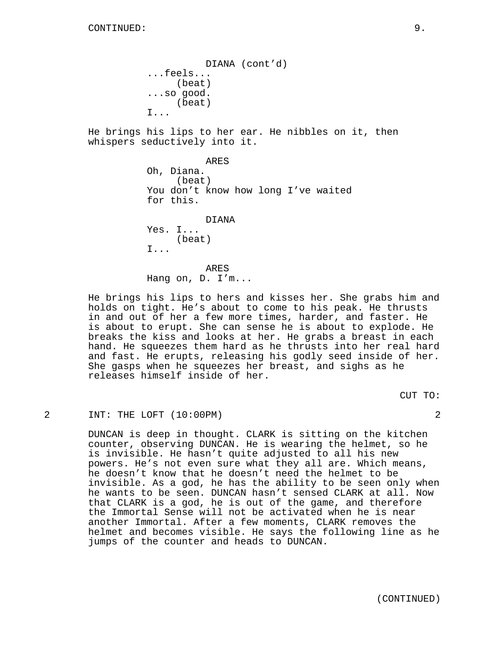DIANA (cont'd) ...feels... (beat) ...so good. (beat) I...

He brings his lips to her ear. He nibbles on it, then whispers seductively into it.

> ARES Oh, Diana. (beat) You don't know how long I've waited for this.

DIANA Yes. I... (beat) I...

ARES Hang on, D. I'm...

He brings his lips to hers and kisses her. She grabs him and holds on tight. He's about to come to his peak. He thrusts in and out of her a few more times, harder, and faster. He is about to erupt. She can sense he is about to explode. He breaks the kiss and looks at her. He grabs a breast in each hand. He squeezes them hard as he thrusts into her real hard and fast. He erupts, releasing his godly seed inside of her. She gasps when he squeezes her breast, and sighs as he releases himself inside of her.

CUT TO:

2 INT: THE LOFT (10:00PM) 2

DUNCAN is deep in thought. CLARK is sitting on the kitchen counter, observing DUNCAN. He is wearing the helmet, so he is invisible. He hasn't quite adjusted to all his new powers. He's not even sure what they all are. Which means, he doesn't know that he doesn't need the helmet to be invisible. As a god, he has the ability to be seen only when he wants to be seen. DUNCAN hasn't sensed CLARK at all. Now that CLARK is a god, he is out of the game, and therefore the Immortal Sense will not be activated when he is near another Immortal. After a few moments, CLARK removes the helmet and becomes visible. He says the following line as he jumps of the counter and heads to DUNCAN.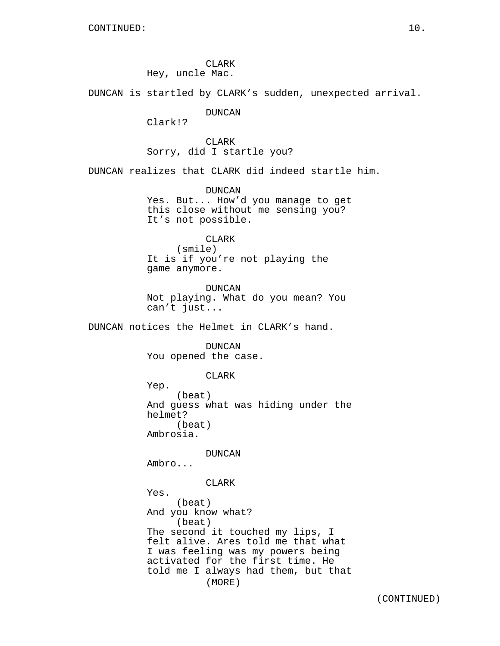CLARK Hey, uncle Mac.

DUNCAN is startled by CLARK's sudden, unexpected arrival.

DUNCAN

Clark!?

CLARK Sorry, did I startle you?

DUNCAN realizes that CLARK did indeed startle him.

DUNCAN Yes. But... How'd you manage to get this close without me sensing you? It's not possible.

## CLARK

(smile) It is if you're not playing the game anymore.

DUNCAN Not playing. What do you mean? You can't just...

DUNCAN notices the Helmet in CLARK's hand.

DUNCAN You opened the case.

CLARK

Yep. (beat) And guess what was hiding under the helmet? (beat) Ambrosia.

DUNCAN

Ambro...

CLARK

Yes. (beat) And you know what? (beat) The second it touched my lips, I felt alive. Ares told me that what I was feeling was my powers being activated for the first time. He told me I always had them, but that (MORE)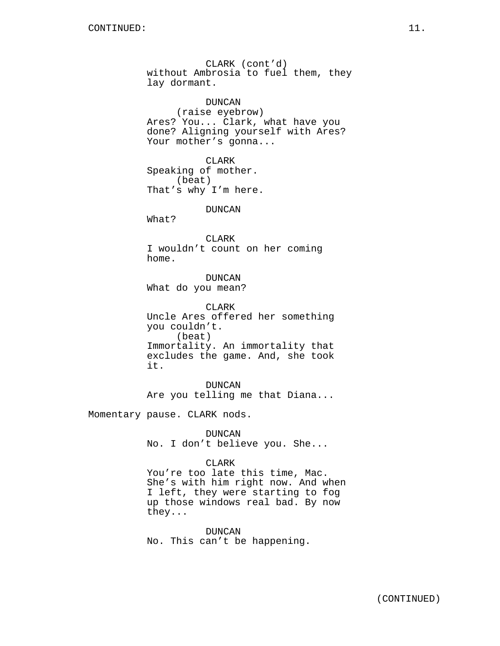CLARK (cont'd) without Ambrosia to fuel them, they lay dormant. DUNCAN (raise eyebrow) Ares? You... Clark, what have you done? Aligning yourself with Ares? Your mother's gonna... CLARK Speaking of mother. (beat) That's why I'm here. DUNCAN What? CLARK I wouldn't count on her coming home. DUNCAN What do you mean? CLARK Uncle Ares offered her something you couldn't. (beat) Immortality. An immortality that excludes the game. And, she took it. DUNCAN Are you telling me that Diana...

Momentary pause. CLARK nods.

DUNCAN No. I don't believe you. She...

## CLARK

You're too late this time, Mac. She's with him right now. And when I left, they were starting to fog up those windows real bad. By now they...

DUNCAN No. This can't be happening.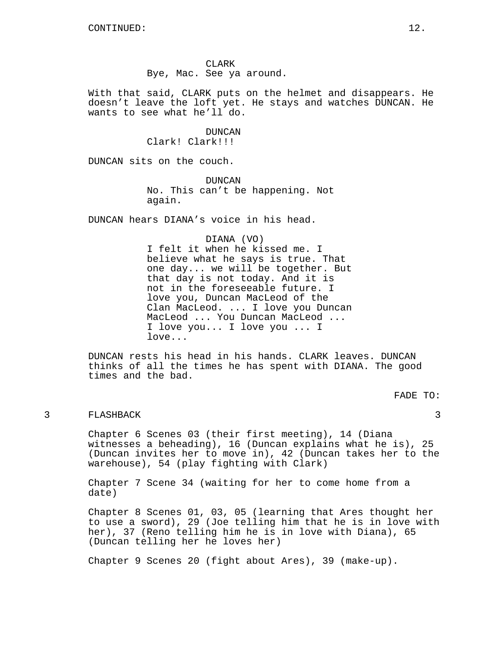CLARK Bye, Mac. See ya around.

With that said, CLARK puts on the helmet and disappears. He doesn't leave the loft yet. He stays and watches DUNCAN. He wants to see what he'll do.

> DUNCAN Clark! Clark!!!

DUNCAN sits on the couch.

DUNCAN No. This can't be happening. Not again.

DUNCAN hears DIANA's voice in his head.

### DIANA (VO)

I felt it when he kissed me. I believe what he says is true. That one day... we will be together. But that day is not today. And it is not in the foreseeable future. I love you, Duncan MacLeod of the Clan MacLeod. ... I love you Duncan MacLeod ... You Duncan MacLeod ... I love you... I love you ... I love...

DUNCAN rests his head in his hands. CLARK leaves. DUNCAN thinks of all the times he has spent with DIANA. The good times and the bad.

FADE TO:

## 3 FLASHBACK 3

Chapter 6 Scenes 03 (their first meeting), 14 (Diana witnesses a beheading), 16 (Duncan explains what he is), 25 (Duncan invites her to move in), 42 (Duncan takes her to the warehouse), 54 (play fighting with Clark)

Chapter 7 Scene 34 (waiting for her to come home from a date)

Chapter 8 Scenes 01, 03, 05 (learning that Ares thought her to use a sword), 29 (Joe telling him that he is in love with her), 37 (Reno telling him he is in love with Diana), 65 (Duncan telling her he loves her)

Chapter 9 Scenes 20 (fight about Ares), 39 (make-up).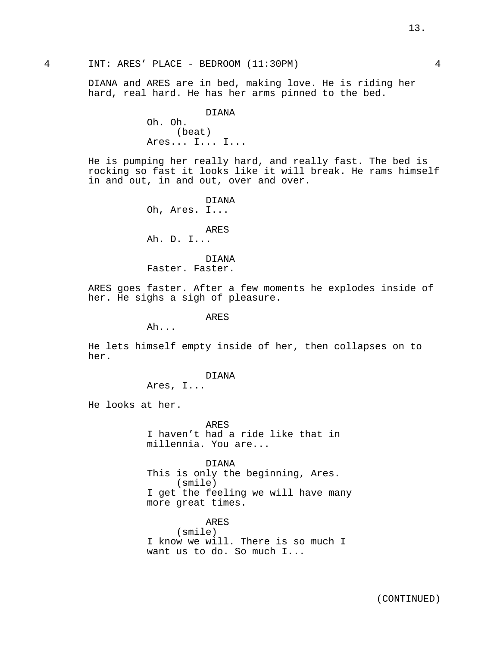4 INT: ARES' PLACE - BEDROOM (11:30PM) 4

DIANA and ARES are in bed, making love. He is riding her hard, real hard. He has her arms pinned to the bed.

> DIANA Oh. Oh. (beat) Ares... I... I...

He is pumping her really hard, and really fast. The bed is rocking so fast it looks like it will break. He rams himself in and out, in and out, over and over.

> DIANA Oh, Ares. I... ARES Ah. D. I... DIANA

Faster. Faster.

ARES goes faster. After a few moments he explodes inside of her. He sighs a sigh of pleasure.

ARES

Ah...

He lets himself empty inside of her, then collapses on to her.

DIANA

Ares, I...

He looks at her.

ARES I haven't had a ride like that in millennia. You are...

DIANA This is only the beginning, Ares. (smile) I get the feeling we will have many more great times.

ARES (smile) I know we will. There is so much I want us to do. So much I...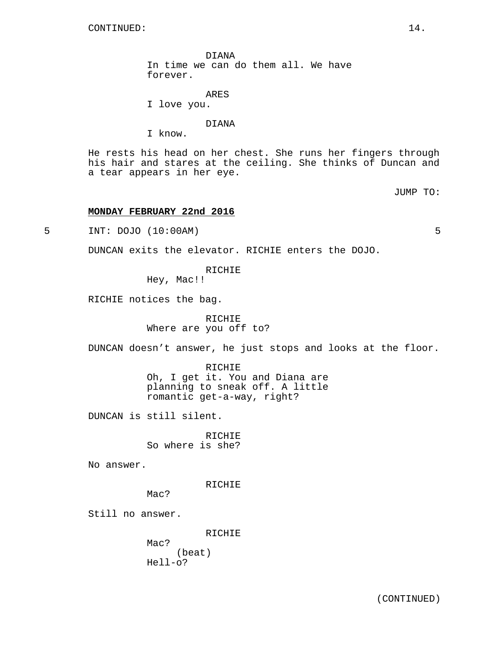DIANA In time we can do them all. We have forever.

ARES I love you.

DIANA

I know.

He rests his head on her chest. She runs her fingers through his hair and stares at the ceiling. She thinks of Duncan and a tear appears in her eye.

JUMP TO:

# **MONDAY FEBRUARY 22nd 2016**

5 INT: DOJO (10:00AM) 5

DUNCAN exits the elevator. RICHIE enters the DOJO.

RICHIE

Hey, Mac!!

RICHIE notices the bag.

RICHIE Where are you off to?

DUNCAN doesn't answer, he just stops and looks at the floor.

RICHIE Oh, I get it. You and Diana are planning to sneak off. A little romantic get-a-way, right?

DUNCAN is still silent.

RICHIE So where is she?

No answer.

RICHIE

Mac?

Mac?

Still no answer.

RICHIE (beat) Hell-o?

(CONTINUED)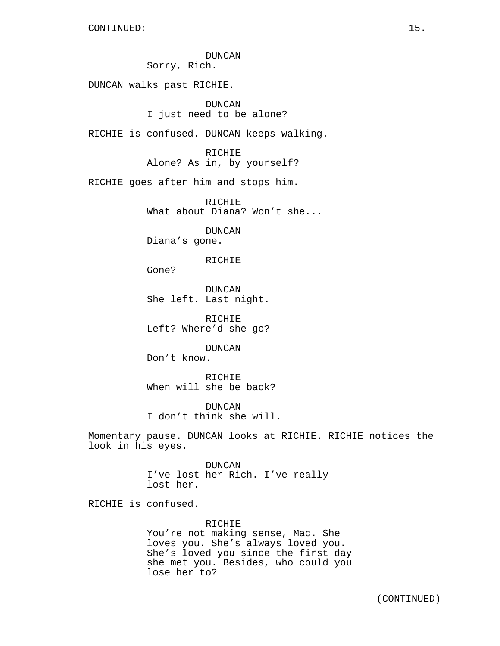DUNCAN Sorry, Rich.

DUNCAN walks past RICHIE.

DUNCAN I just need to be alone?

RICHIE is confused. DUNCAN keeps walking.

RICHIE Alone? As in, by yourself?

RICHIE goes after him and stops him.

RICHIE What about Diana? Won't she...

DUNCAN Diana's gone.

RICHIE

Gone?

DUNCAN She left. Last night.

RICHIE Left? Where'd she go?

DUNCAN Don't know.

RICHIE When will she be back?

DUNCAN I don't think she will.

Momentary pause. DUNCAN looks at RICHIE. RICHIE notices the look in his eyes.

> DUNCAN I've lost her Rich. I've really lost her.

RICHIE is confused.

RICHIE

You're not making sense, Mac. She loves you. She's always loved you. She's loved you since the first day she met you. Besides, who could you lose her to?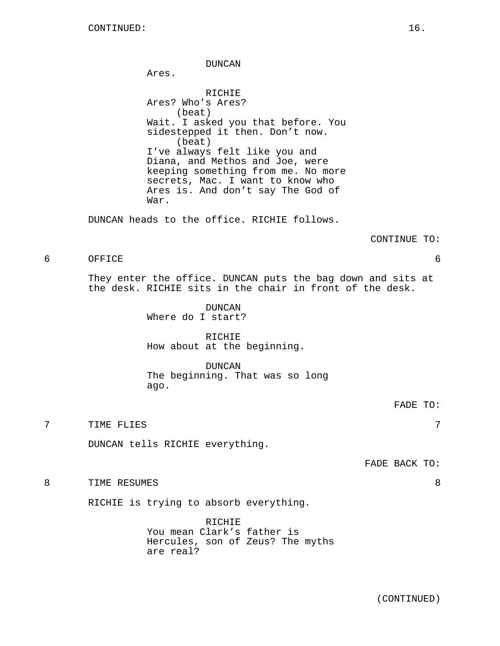DUNCAN Ares. RICHIE Ares? Who's Ares? (beat) Wait. I asked you that before. You sidestepped it then. Don't now. (beat) I've always felt like you and Diana, and Methos and Joe, were keeping something from me. No more secrets, Mac. I want to know who Ares is. And don't say The God of War.

DUNCAN heads to the office. RICHIE follows.

#### CONTINUE TO:

## 6 OFFICE 6

They enter the office. DUNCAN puts the bag down and sits at the desk. RICHIE sits in the chair in front of the desk.

> DUNCAN Where do I start?

RICHIE How about at the beginning.

DUNCAN The beginning. That was so long ago.

FADE TO:

7 TIME FLIES 7

DUNCAN tells RICHIE everything.

FADE BACK TO:

8 TIME RESUMES 8

RICHIE is trying to absorb everything.

RICHIE You mean Clark's father is Hercules, son of Zeus? The myths are real?

(CONTINUED)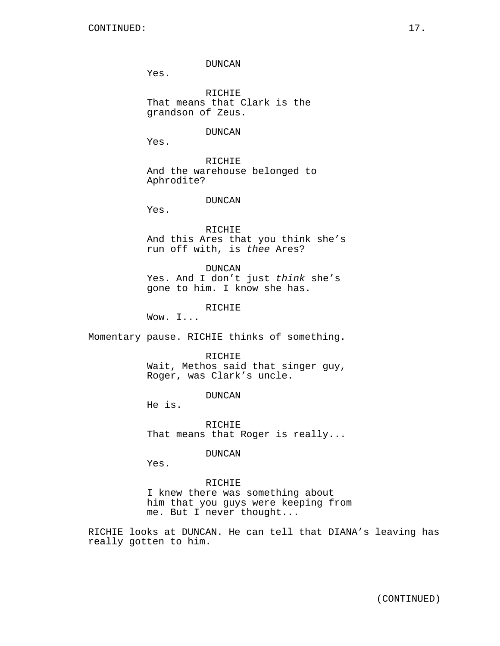DUNCAN

Yes.

RICHIE That means that Clark is the grandson of Zeus.

DUNCAN

Yes.

RICHIE And the warehouse belonged to Aphrodite?

DUNCAN

Yes.

RICHIE And this Ares that you think she's run off with, is thee Ares?

DUNCAN

Yes. And I don't just think she's gone to him. I know she has.

RICHIE

Wow. I...

Momentary pause. RICHIE thinks of something.

RICHIE

Wait, Methos said that singer guy, Roger, was Clark's uncle.

DUNCAN

He is.

RICHIE That means that Roger is really...

DUNCAN

Yes.

## RICHIE

I knew there was something about him that you guys were keeping from me. But I never thought...

RICHIE looks at DUNCAN. He can tell that DIANA's leaving has really gotten to him.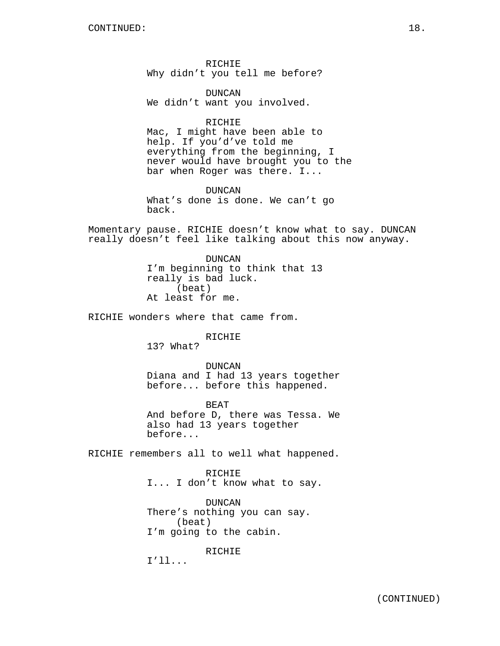RICHIE Why didn't you tell me before?

DUNCAN We didn't want you involved.

RICHIE Mac, I might have been able to help. If you'd've told me everything from the beginning, I never would have brought you to the bar when Roger was there. I...

DUNCAN What's done is done. We can't go back.

Momentary pause. RICHIE doesn't know what to say. DUNCAN really doesn't feel like talking about this now anyway.

> DUNCAN I'm beginning to think that 13 really is bad luck. (beat) At least for me.

RICHIE wonders where that came from.

RICHIE

13? What?

DUNCAN Diana and I had 13 years together before... before this happened.

BEAT And before D, there was Tessa. We also had 13 years together before...

RICHIE remembers all to well what happened.

RICHIE I... I don't know what to say.

DUNCAN There's nothing you can say. (beat) I'm going to the cabin.

RICHIE

I'll...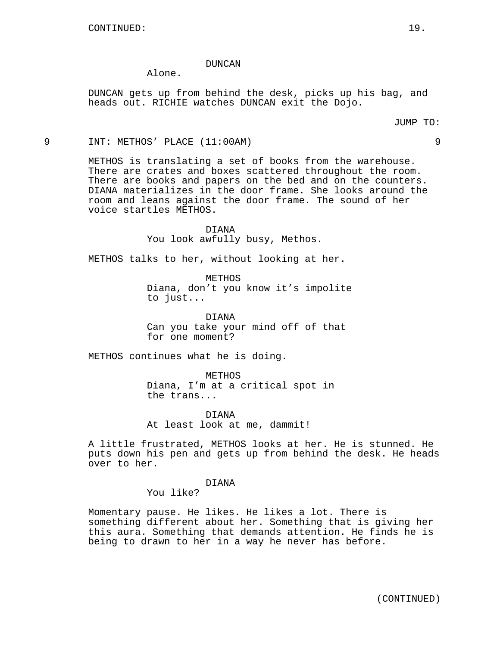### DUNCAN

Alone.

DUNCAN gets up from behind the desk, picks up his bag, and heads out. RICHIE watches DUNCAN exit the Dojo.

### 9 INT: METHOS' PLACE (11:00AM) 9

METHOS is translating a set of books from the warehouse. There are crates and boxes scattered throughout the room. There are books and papers on the bed and on the counters. DIANA materializes in the door frame. She looks around the room and leans against the door frame. The sound of her voice startles METHOS.

> DIANA You look awfully busy, Methos.

METHOS talks to her, without looking at her.

METHOS Diana, don't you know it's impolite to just...

DIANA Can you take your mind off of that for one moment?

METHOS continues what he is doing.

METHOS Diana, I'm at a critical spot in the trans...

DIANA At least look at me, dammit!

A little frustrated, METHOS looks at her. He is stunned. He puts down his pen and gets up from behind the desk. He heads over to her.

DIANA

You like?

Momentary pause. He likes. He likes a lot. There is something different about her. Something that is giving her this aura. Something that demands attention. He finds he is being to drawn to her in a way he never has before.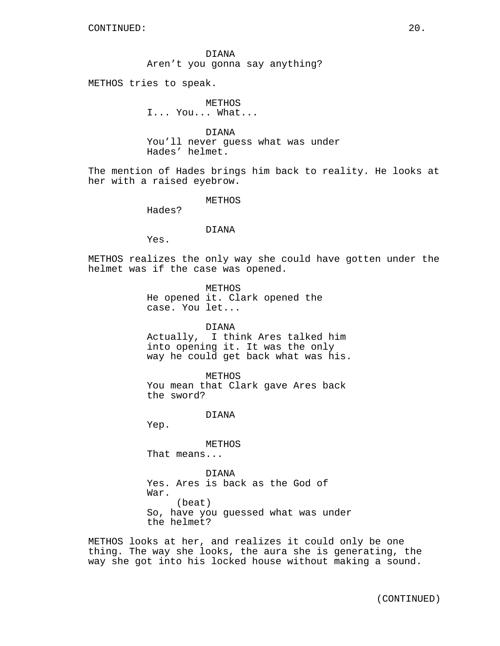DIANA Aren't you gonna say anything?

METHOS tries to speak.

METHOS I... You... What...

DIANA You'll never guess what was under Hades' helmet.

The mention of Hades brings him back to reality. He looks at her with a raised eyebrow.

METHOS

Hades?

## DIANA

Yes.

METHOS realizes the only way she could have gotten under the helmet was if the case was opened.

> METHOS He opened it. Clark opened the case. You let...

DIANA Actually, I think Ares talked him into opening it. It was the only way he could get back what was his.

METHOS You mean that Clark gave Ares back the sword?

DIANA

Yep.

METHOS That means...

DIANA Yes. Ares is back as the God of War. (beat) So, have you guessed what was under the helmet?

METHOS looks at her, and realizes it could only be one thing. The way she looks, the aura she is generating, the way she got into his locked house without making a sound.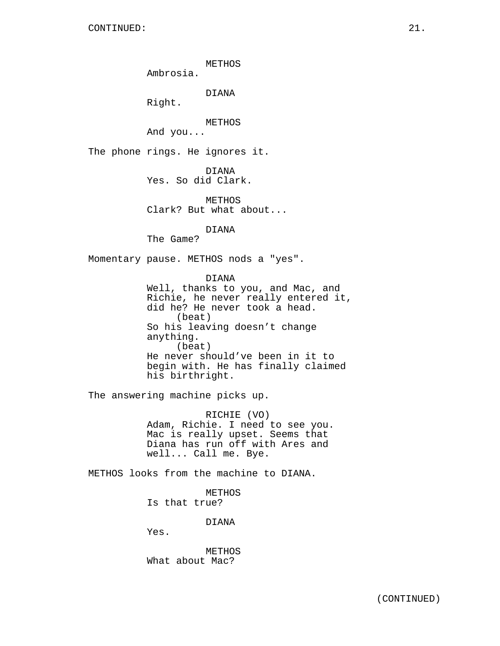METHOS

Ambrosia.

DIANA

Right.

METHOS

And you...

The phone rings. He ignores it.

DIANA Yes. So did Clark.

METHOS Clark? But what about...

DIANA

The Game?

Momentary pause. METHOS nods a "yes".

DIANA Well, thanks to you, and Mac, and Richie, he never really entered it, did he? He never took a head. (beat) So his leaving doesn't change anything. (beat) He never should've been in it to begin with. He has finally claimed his birthright.

The answering machine picks up.

RICHIE (VO) Adam, Richie. I need to see you. Mac is really upset. Seems that Diana has run off with Ares and well... Call me. Bye.

METHOS looks from the machine to DIANA.

METHOS Is that true?

DIANA

Yes.

METHOS What about Mac?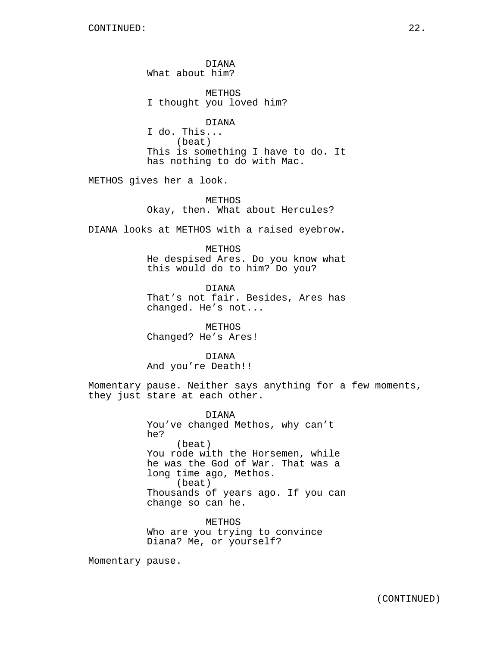DIANA What about him?

**METHOS** I thought you loved him?

DIANA I do. This... (beat) This is something I have to do. It has nothing to do with Mac.

METHOS gives her a look.

METHOS Okay, then. What about Hercules?

DIANA looks at METHOS with a raised eyebrow.

### METHOS

He despised Ares. Do you know what this would do to him? Do you?

DIANA That's not fair. Besides, Ares has changed. He's not...

METHOS Changed? He's Ares!

DIANA And you're Death!!

Momentary pause. Neither says anything for a few moments, they just stare at each other.

> DIANA You've changed Methos, why can't he? (beat) You rode with the Horsemen, while he was the God of War. That was a long time ago, Methos. (beat) Thousands of years ago. If you can change so can he.

METHOS Who are you trying to convince Diana? Me, or yourself?

Momentary pause.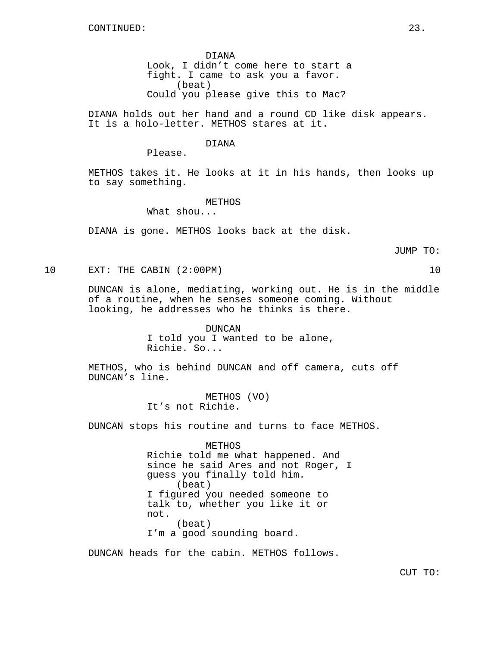DIANA Look, I didn't come here to start a fight. I came to ask you a favor. (beat) Could you please give this to Mac?

DIANA holds out her hand and a round CD like disk appears. It is a holo-letter. METHOS stares at it.

### DIANA

Please.

METHOS takes it. He looks at it in his hands, then looks up to say something.

METHOS

What shou...

DIANA is gone. METHOS looks back at the disk.

JUMP TO:

10 EXT: THE CABIN (2:00PM) 10

DUNCAN is alone, mediating, working out. He is in the middle of a routine, when he senses someone coming. Without looking, he addresses who he thinks is there.

> DUNCAN I told you I wanted to be alone, Richie. So...

METHOS, who is behind DUNCAN and off camera, cuts off DUNCAN's line.

> METHOS (VO) It's not Richie.

DUNCAN stops his routine and turns to face METHOS.

METHOS Richie told me what happened. And since he said Ares and not Roger, I guess you finally told him. (beat) I figured you needed someone to talk to, whether you like it or not. (beat) I'm a good sounding board.

DUNCAN heads for the cabin. METHOS follows.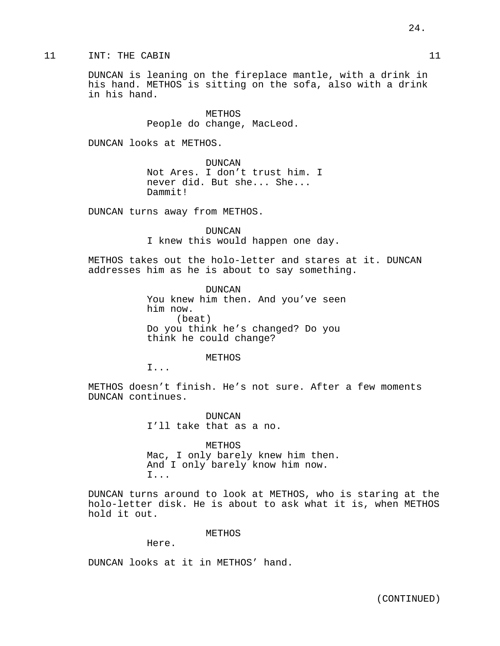## 11 INT: THE CABIN 11

DUNCAN is leaning on the fireplace mantle, with a drink in his hand. METHOS is sitting on the sofa, also with a drink in his hand.

> **METHOS** People do change, MacLeod.

DUNCAN looks at METHOS.

DUNCAN Not Ares. I don't trust him. I never did. But she... She... Dammit!

DUNCAN turns away from METHOS.

DUNCAN I knew this would happen one day.

METHOS takes out the holo-letter and stares at it. DUNCAN addresses him as he is about to say something.

> DUNCAN You knew him then. And you've seen him now. (beat) Do you think he's changed? Do you think he could change?

> > METHOS

I...

METHOS doesn't finish. He's not sure. After a few moments DUNCAN continues.

> DUNCAN I'll take that as a no.

METHOS Mac, I only barely knew him then. And I only barely know him now. I...

DUNCAN turns around to look at METHOS, who is staring at the holo-letter disk. He is about to ask what it is, when METHOS hold it out.

METHOS

Here.

DUNCAN looks at it in METHOS' hand.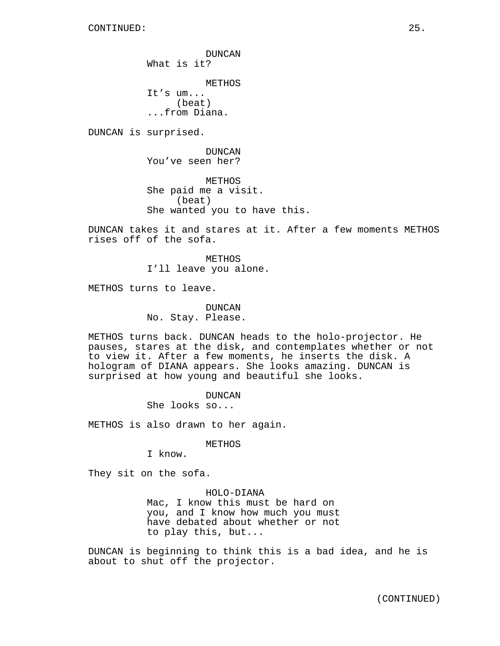DUNCAN What is it? METHOS It's um... (beat) ...from Diana.

DUNCAN is surprised.

DUNCAN You've seen her?

METHOS She paid me a visit. (beat) She wanted you to have this.

DUNCAN takes it and stares at it. After a few moments METHOS rises off of the sofa.

> METHOS I'll leave you alone.

METHOS turns to leave.

DUNCAN No. Stay. Please.

METHOS turns back. DUNCAN heads to the holo-projector. He pauses, stares at the disk, and contemplates whether or not to view it. After a few moments, he inserts the disk. A hologram of DIANA appears. She looks amazing. DUNCAN is surprised at how young and beautiful she looks.

> DUNCAN She looks so...

METHOS is also drawn to her again.

METHOS

I know.

They sit on the sofa.

HOLO-DIANA Mac, I know this must be hard on you, and I know how much you must have debated about whether or not to play this, but...

DUNCAN is beginning to think this is a bad idea, and he is about to shut off the projector.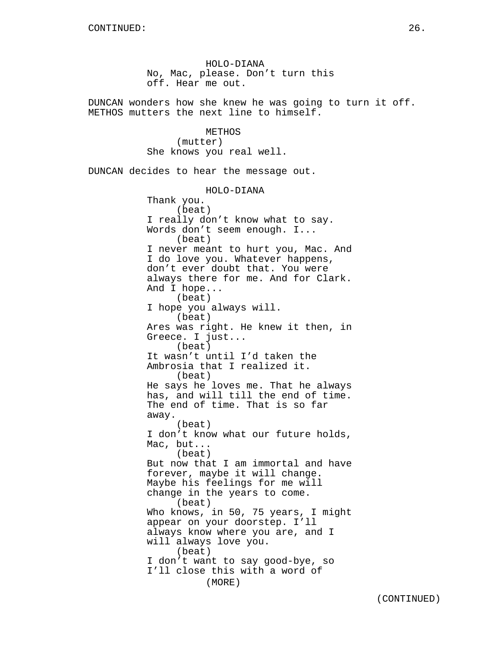HOLO-DIANA No, Mac, please. Don't turn this off. Hear me out.

DUNCAN wonders how she knew he was going to turn it off. METHOS mutters the next line to himself.

> **METHOS** (mutter) She knows you real well.

DUNCAN decides to hear the message out.

HOLO-DIANA Thank you. (beat) I really don't know what to say. Words don't seem enough. I... (beat) I never meant to hurt you, Mac. And I do love you. Whatever happens, don't ever doubt that. You were always there for me. And for Clark. And I hope... (beat) I hope you always will. (beat) Ares was right. He knew it then, in Greece. I just... (beat) It wasn't until I'd taken the Ambrosia that I realized it. (beat) He says he loves me. That he always has, and will till the end of time. The end of time. That is so far away. (beat) I don't know what our future holds, Mac, but... (beat) But now that I am immortal and have forever, maybe it will change. Maybe his feelings for me will change in the years to come. (beat) Who knows, in 50, 75 years, I might appear on your doorstep. I'll always know where you are, and I will always love you. (beat) I don't want to say good-bye, so I'll close this with a word of (MORE)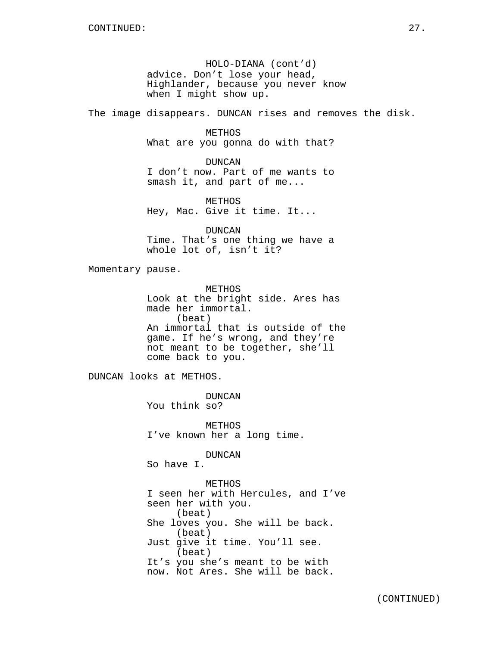HOLO-DIANA (cont'd) advice. Don't lose your head, Highlander, because you never know when I might show up.

The image disappears. DUNCAN rises and removes the disk.

METHOS What are you gonna do with that?

DUNCAN I don't now. Part of me wants to smash it, and part of me...

METHOS Hey, Mac. Give it time. It...

DUNCAN Time. That's one thing we have a whole lot of, isn't it?

Momentary pause.

METHOS Look at the bright side. Ares has made her immortal. (beat) An immortal that is outside of the game. If he's wrong, and they're not meant to be together, she'll come back to you.

DUNCAN looks at METHOS.

DUNCAN You think so?

METHOS I've known her a long time.

DUNCAN

So have I.

METHOS I seen her with Hercules, and I've seen her with you. (beat) She loves you. She will be back. (beat) Just give it time. You'll see. (beat) It's you she's meant to be with now. Not Ares. She will be back.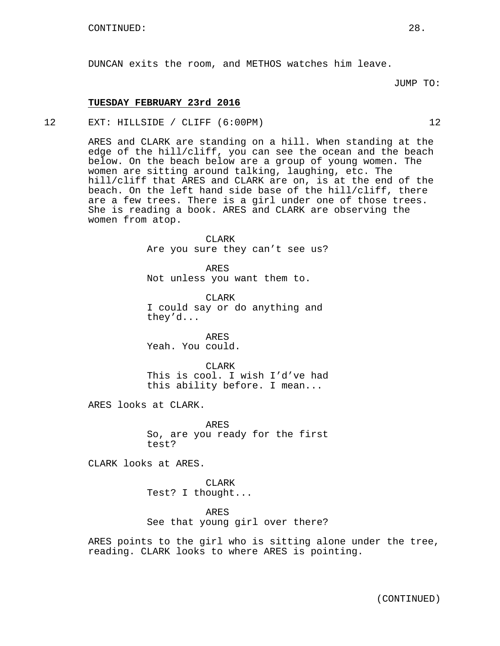DUNCAN exits the room, and METHOS watches him leave.

## **TUESDAY FEBRUARY 23rd 2016**

12 EXT: HILLSIDE / CLIFF (6:00PM) 12

ARES and CLARK are standing on a hill. When standing at the edge of the hill/cliff, you can see the ocean and the beach below. On the beach below are a group of young women. The women are sitting around talking, laughing, etc. The hill/cliff that ARES and CLARK are on, is at the end of the beach. On the left hand side base of the hill/cliff, there are a few trees. There is a girl under one of those trees. She is reading a book. ARES and CLARK are observing the women from atop.

> CLARK Are you sure they can't see us?

ARES Not unless you want them to.

CLARK I could say or do anything and they'd...

ARES Yeah. You could.

CLARK This is cool. I wish I'd've had this ability before. I mean...

ARES looks at CLARK.

ARES So, are you ready for the first test?

CLARK looks at ARES.

CLARK Test? I thought...

ARES See that young girl over there?

ARES points to the girl who is sitting alone under the tree, reading. CLARK looks to where ARES is pointing.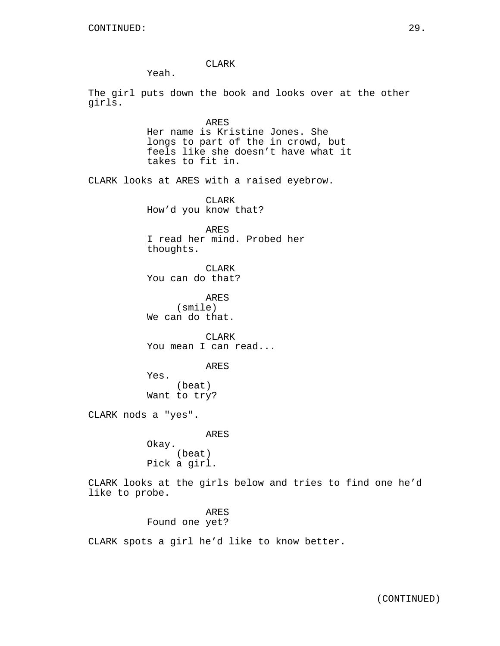CLARK

Yeah.

The girl puts down the book and looks over at the other girls.

> ARES Her name is Kristine Jones. She longs to part of the in crowd, but feels like she doesn't have what it takes to fit in.

CLARK looks at ARES with a raised eyebrow.

CLARK How'd you know that?

ARES I read her mind. Probed her thoughts.

CLARK You can do that?

ARES (smile) We can do that.

CLARK You mean I can read...

ARES

Yes. (beat) Want to try?

CLARK nods a "yes".

ARES

Okay. (beat) Pick a girl.

CLARK looks at the girls below and tries to find one he'd like to probe.

> ARES Found one yet?

CLARK spots a girl he'd like to know better.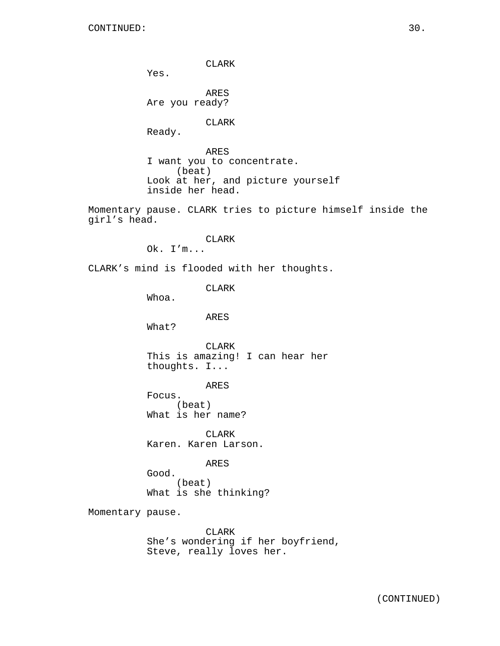CLARK

Yes.

ARES Are you ready?

CLARK

Ready.

ARES I want you to concentrate. (beat) Look at her, and picture yourself inside her head.

Momentary pause. CLARK tries to picture himself inside the girl's head.

CLARK

Ok. I'm...

CLARK's mind is flooded with her thoughts.

CLARK

Whoa.

ARES

What?

CLARK This is amazing! I can hear her thoughts. I...

ARES

Focus. (beat) What is her name?

CLARK Karen. Karen Larson.

ARES

Good. (beat) What is she thinking?

Momentary pause.

CLARK She's wondering if her boyfriend, Steve, really loves her.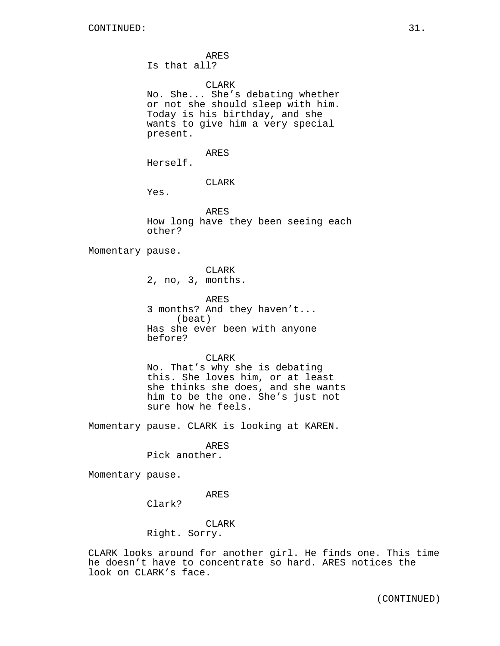ARES Is that all?

CLARK No. She... She's debating whether or not she should sleep with him. Today is his birthday, and she wants to give him a very special present.

ARES

Herself.

CLARK

Yes.

ARES How long have they been seeing each other?

Momentary pause.

CLARK 2, no, 3, months.

ARES 3 months? And they haven't... (beat) Has she ever been with anyone before?

CLARK No. That's why she is debating this. She loves him, or at least she thinks she does, and she wants him to be the one. She's just not sure how he feels.

Momentary pause. CLARK is looking at KAREN.

ARES

Pick another.

Momentary pause.

ARES

Clark?

CLARK Right. Sorry.

CLARK looks around for another girl. He finds one. This time he doesn't have to concentrate so hard. ARES notices the look on CLARK's face.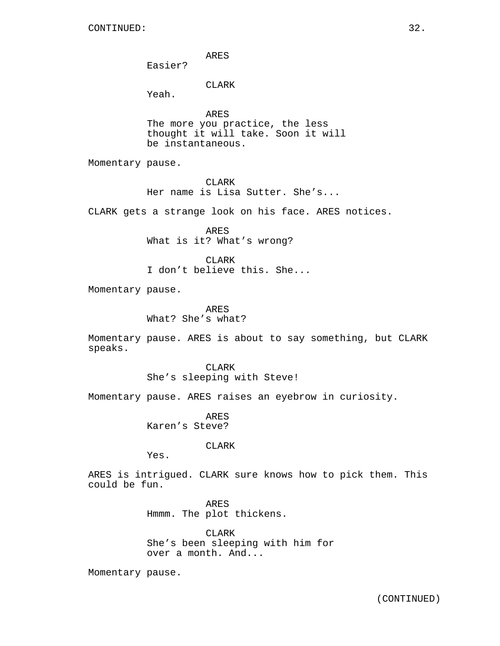ARES

Easier?

# CLARK

Yeah.

ARES The more you practice, the less thought it will take. Soon it will be instantaneous.

Momentary pause.

CLARK Her name is Lisa Sutter. She's...

CLARK gets a strange look on his face. ARES notices.

ARES What is it? What's wrong?

CLARK I don't believe this. She...

Momentary pause.

ARES What? She's what?

Momentary pause. ARES is about to say something, but CLARK speaks.

> CLARK She's sleeping with Steve!

Momentary pause. ARES raises an eyebrow in curiosity.

ARES Karen's Steve?

CLARK

Yes.

ARES is intrigued. CLARK sure knows how to pick them. This could be fun.

> ARES Hmmm. The plot thickens.

CLARK She's been sleeping with him for over a month. And...

Momentary pause.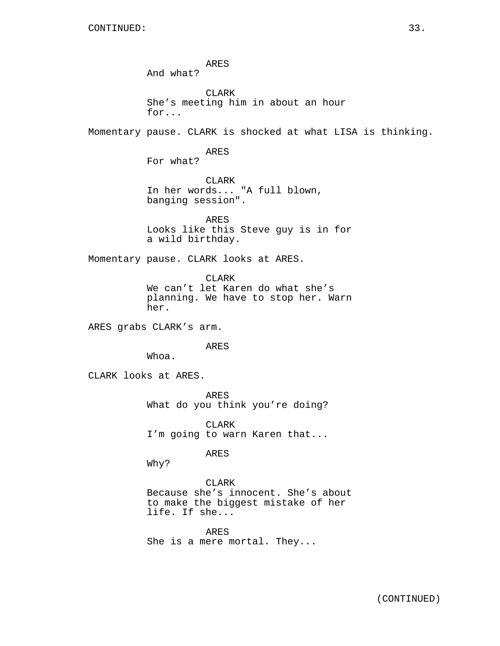ARES And what? **CLARK** She's meeting him in about an hour for... Momentary pause. CLARK is shocked at what LISA is thinking. ARES For what? CLARK In her words... "A full blown, banging session". ARES Looks like this Steve guy is in for a wild birthday. Momentary pause. CLARK looks at ARES. CLARK We can't let Karen do what she's planning. We have to stop her. Warn her. ARES grabs CLARK's arm. ARES Whoa. CLARK looks at ARES. ARES What do you think you're doing? CLARK I'm going to warn Karen that... ARES Why? CLARK Because she's innocent. She's about to make the biggest mistake of her life. If she... ARES She is a mere mortal. They...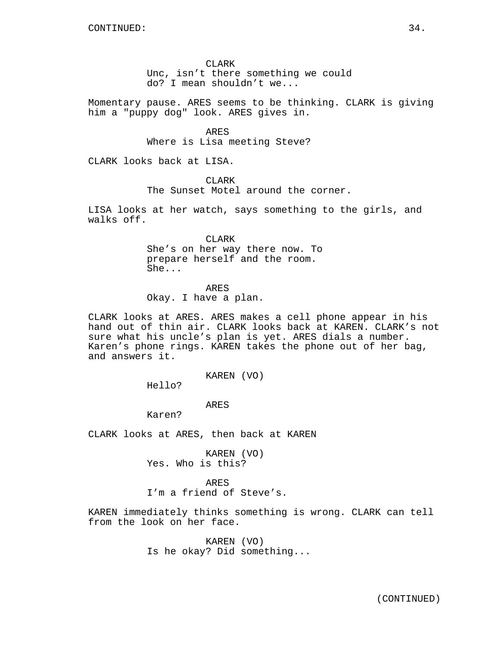### CLARK

Unc, isn't there something we could do? I mean shouldn't we...

Momentary pause. ARES seems to be thinking. CLARK is giving him a "puppy dog" look. ARES gives in.

> ARES Where is Lisa meeting Steve?

CLARK looks back at LISA.

CLARK

The Sunset Motel around the corner.

LISA looks at her watch, says something to the girls, and walks off.

CLARK

She's on her way there now. To prepare herself and the room. She...

ARES

Okay. I have a plan.

CLARK looks at ARES. ARES makes a cell phone appear in his hand out of thin air. CLARK looks back at KAREN. CLARK's not sure what his uncle's plan is yet. ARES dials a number. Karen's phone rings. KAREN takes the phone out of her bag, and answers it.

KAREN (VO)

Hello?

ARES

Karen?

CLARK looks at ARES, then back at KAREN

KAREN (VO) Yes. Who is this?

ARES I'm a friend of Steve's.

KAREN immediately thinks something is wrong. CLARK can tell from the look on her face.

> KAREN (VO) Is he okay? Did something...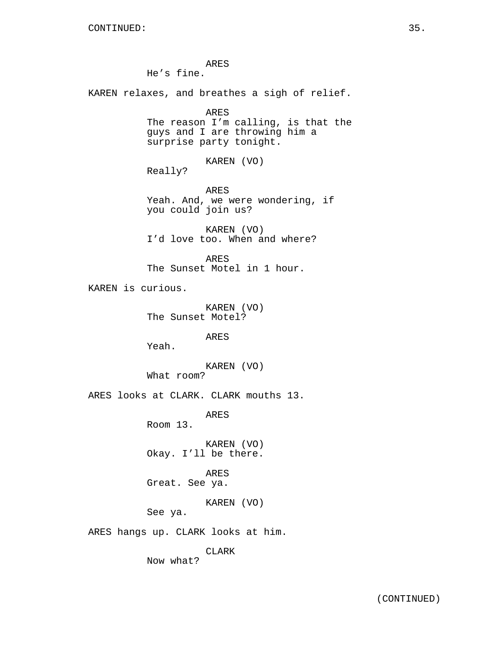ARES He's fine. KAREN relaxes, and breathes a sigh of relief. ARES The reason I'm calling, is that the guys and I are throwing him a surprise party tonight. KAREN (VO) Really? ARES Yeah. And, we were wondering, if you could join us? KAREN (VO) I'd love too. When and where? ARES The Sunset Motel in 1 hour. KAREN is curious. KAREN (VO) The Sunset Motel? ARES Yeah. KAREN (VO) What room? ARES looks at CLARK. CLARK mouths 13. ARES Room 13. KAREN (VO) Okay. I'll be there. ARES Great. See ya. KAREN (VO) See ya. ARES hangs up. CLARK looks at him. CLARK Now what?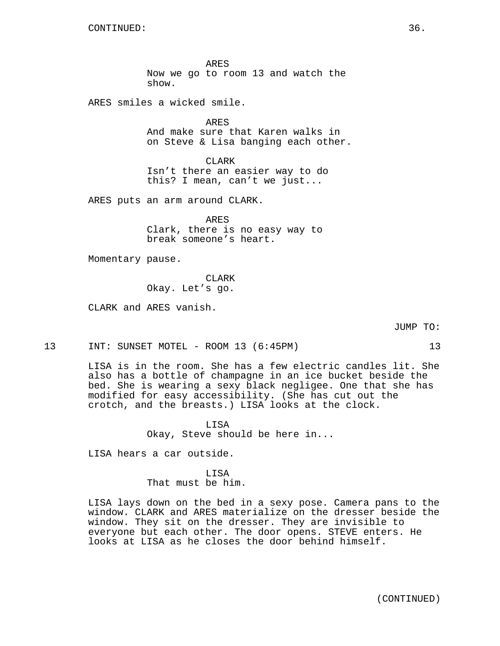ARES Now we go to room 13 and watch the show.

ARES smiles a wicked smile.

ARES And make sure that Karen walks in on Steve & Lisa banging each other.

CLARK Isn't there an easier way to do this? I mean, can't we just...

ARES puts an arm around CLARK.

ARES Clark, there is no easy way to break someone's heart.

Momentary pause.

**CLARK** Okay. Let's go.

CLARK and ARES vanish.

JUMP TO:

13 INT: SUNSET MOTEL - ROOM 13 (6:45PM) 13

LISA is in the room. She has a few electric candles lit. She also has a bottle of champagne in an ice bucket beside the bed. She is wearing a sexy black negligee. One that she has modified for easy accessibility. (She has cut out the crotch, and the breasts.) LISA looks at the clock.

> LISA Okay, Steve should be here in...

LISA hears a car outside.

LISA That must be him.

LISA lays down on the bed in a sexy pose. Camera pans to the window. CLARK and ARES materialize on the dresser beside the window. They sit on the dresser. They are invisible to everyone but each other. The door opens. STEVE enters. He looks at LISA as he closes the door behind himself.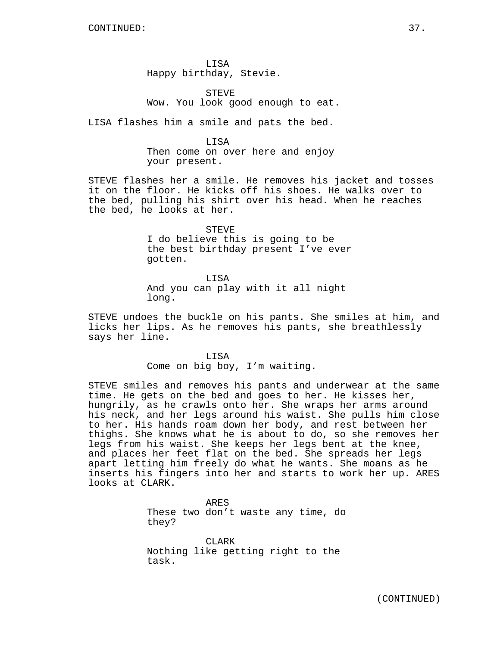LISA Happy birthday, Stevie.

**STEVE** Wow. You look good enough to eat.

LISA flashes him a smile and pats the bed.

LISA Then come on over here and enjoy your present.

STEVE flashes her a smile. He removes his jacket and tosses it on the floor. He kicks off his shoes. He walks over to the bed, pulling his shirt over his head. When he reaches the bed, he looks at her.

> STEVE I do believe this is going to be the best birthday present I've ever gotten.

LISA And you can play with it all night long.

STEVE undoes the buckle on his pants. She smiles at him, and licks her lips. As he removes his pants, she breathlessly says her line.

> LISA Come on big boy, I'm waiting.

STEVE smiles and removes his pants and underwear at the same time. He gets on the bed and goes to her. He kisses her, hungrily, as he crawls onto her. She wraps her arms around his neck, and her legs around his waist. She pulls him close to her. His hands roam down her body, and rest between her thighs. She knows what he is about to do, so she removes her legs from his waist. She keeps her legs bent at the knee, and places her feet flat on the bed. She spreads her legs apart letting him freely do what he wants. She moans as he inserts his fingers into her and starts to work her up. ARES looks at CLARK.

> ARES These two don't waste any time, do they?

CLARK Nothing like getting right to the task.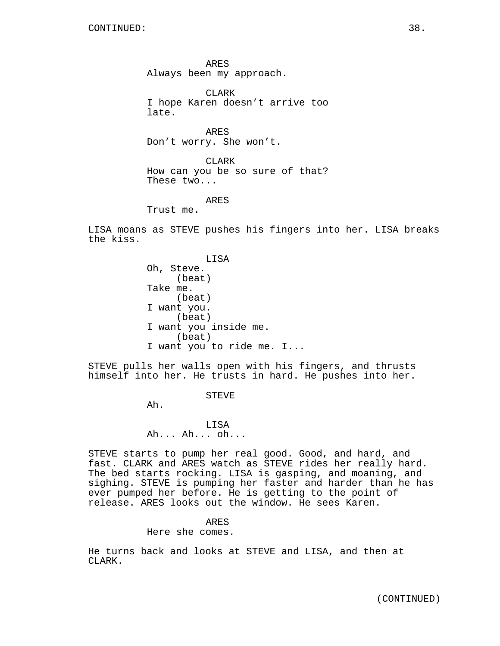ARES Always been my approach.

CLARK I hope Karen doesn't arrive too late.

ARES Don't worry. She won't.

CLARK How can you be so sure of that? These two...

ARES

Trust me.

LISA moans as STEVE pushes his fingers into her. LISA breaks the kiss.

> LISA Oh, Steve. (beat) Take me. (beat) I want you. (beat) I want you inside me. (beat) I want you to ride me. I...

STEVE pulls her walls open with his fingers, and thrusts himself into her. He trusts in hard. He pushes into her.

STEVE

Ah.

LISA Ah... Ah... oh...

STEVE starts to pump her real good. Good, and hard, and fast. CLARK and ARES watch as STEVE rides her really hard. The bed starts rocking. LISA is gasping, and moaning, and sighing. STEVE is pumping her faster and harder than he has ever pumped her before. He is getting to the point of release. ARES looks out the window. He sees Karen.

### ARES

Here she comes.

He turns back and looks at STEVE and LISA, and then at CLARK.

(CONTINUED)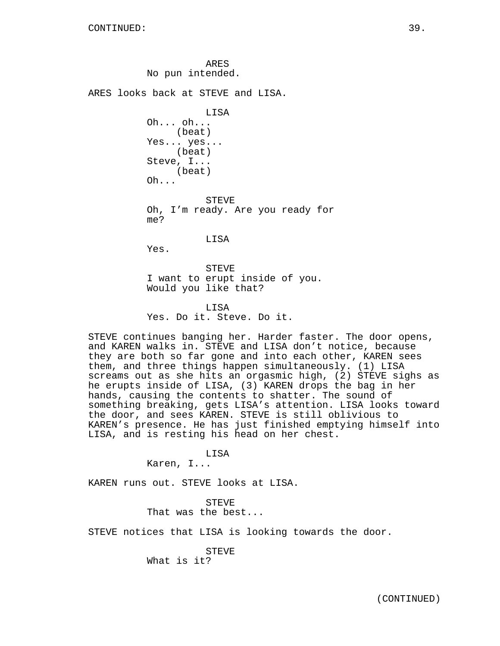ARES No pun intended.

ARES looks back at STEVE and LISA.

LISA Oh... oh... (beat) Yes... yes... (beat) Steve, I... (beat) Oh... STEVE Oh, I'm ready. Are you ready for me?

LISA

Yes.

STEVE I want to erupt inside of you. Would you like that?

LISA Yes. Do it. Steve. Do it.

STEVE continues banging her. Harder faster. The door opens, and KAREN walks in. STEVE and LISA don't notice, because they are both so far gone and into each other, KAREN sees them, and three things happen simultaneously. (1) LISA screams out as she hits an orgasmic high, (2) STEVE sighs as he erupts inside of LISA, (3) KAREN drops the bag in her hands, causing the contents to shatter. The sound of something breaking, gets LISA's attention. LISA looks toward the door, and sees KAREN. STEVE is still oblivious to KAREN's presence. He has just finished emptying himself into LISA, and is resting his head on her chest.

LISA

Karen, I...

KAREN runs out. STEVE looks at LISA.

STEVE That was the best...

STEVE notices that LISA is looking towards the door.

**STEVE** What is it?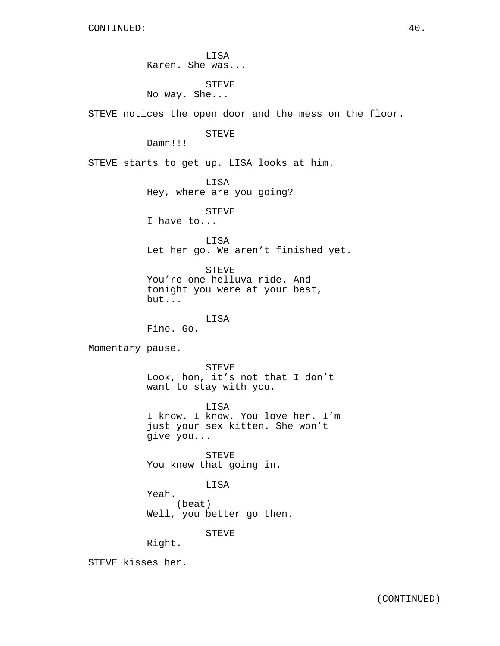LISA Karen. She was... STEVE No way. She... STEVE notices the open door and the mess on the floor. STEVE Damn!!! STEVE starts to get up. LISA looks at him. LISA Hey, where are you going? STEVE I have to... LISA Let her go. We aren't finished yet. STEVE You're one helluva ride. And tonight you were at your best, but... LISA Fine. Go. Momentary pause. STEVE Look, hon, it's not that I don't want to stay with you. LISA I know. I know. You love her. I'm just your sex kitten. She won't give you... **STEVE** You knew that going in. LISA Yeah. (beat) Well, you better go then. STEVE Right. STEVE kisses her.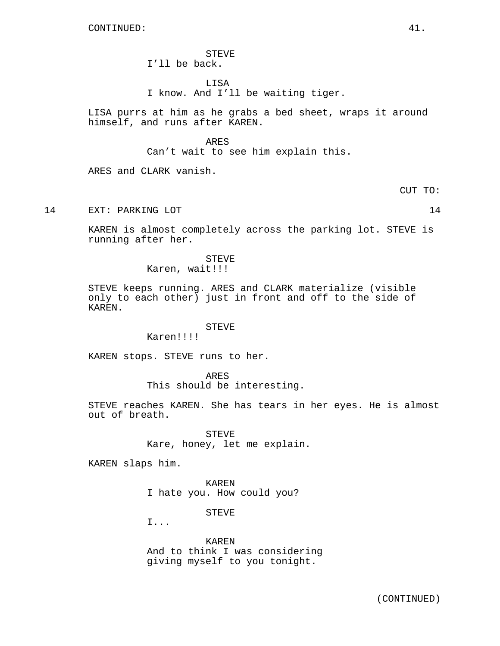STEVE I'll be back.

LISA I know. And I'll be waiting tiger.

LISA purrs at him as he grabs a bed sheet, wraps it around himself, and runs after KAREN.

ARES

Can't wait to see him explain this.

ARES and CLARK vanish.

CUT TO:

14 EXT: PARKING LOT 14

KAREN is almost completely across the parking lot. STEVE is running after her.

> STEVE Karen, wait!!!

STEVE keeps running. ARES and CLARK materialize (visible only to each other) just in front and off to the side of KAREN.

## STEVE

Karen!!!!

KAREN stops. STEVE runs to her.

ARES This should be interesting.

STEVE reaches KAREN. She has tears in her eyes. He is almost out of breath.

> STEVE Kare, honey, let me explain.

KAREN slaps him.

KAREN I hate you. How could you?

STEVE

I...

KAREN And to think I was considering giving myself to you tonight.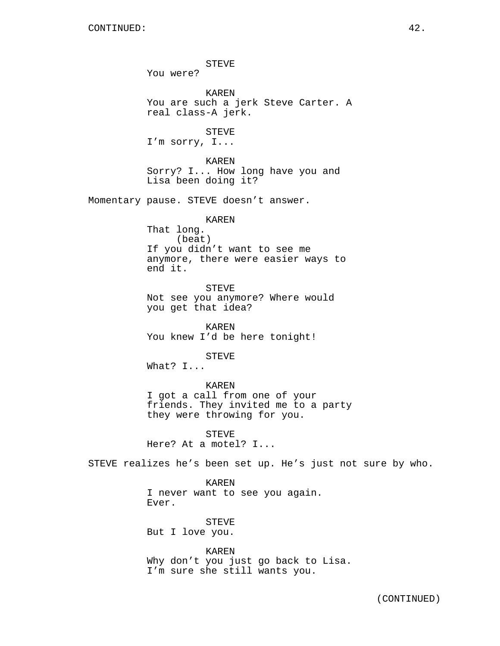STEVE You were? KAREN You are such a jerk Steve Carter. A real class-A jerk. STEVE I'm sorry, I... KAREN Sorry? I... How long have you and Lisa been doing it? Momentary pause. STEVE doesn't answer. KAREN That long. (beat) If you didn't want to see me anymore, there were easier ways to end it. STEVE Not see you anymore? Where would you get that idea? KAREN You knew I'd be here tonight! STEVE What? I... KAREN I got a call from one of your friends. They invited me to a party they were throwing for you. STEVE Here? At a motel? I... STEVE realizes he's been set up. He's just not sure by who. KAREN I never want to see you again. Ever. STEVE But I love you. KAREN Why don't you just go back to Lisa.

I'm sure she still wants you.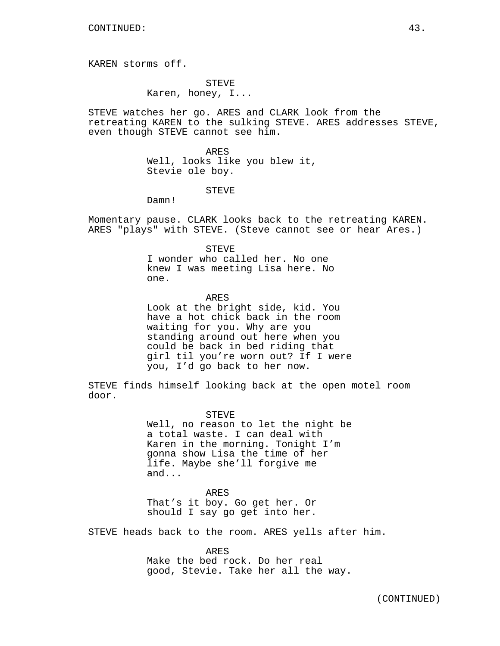KAREN storms off.

STEVE Karen, honey, I...

STEVE watches her go. ARES and CLARK look from the retreating KAREN to the sulking STEVE. ARES addresses STEVE, even though STEVE cannot see him.

> ARES Well, looks like you blew it, Stevie ole boy.

#### STEVE

Damn!

Momentary pause. CLARK looks back to the retreating KAREN. ARES "plays" with STEVE. (Steve cannot see or hear Ares.)

> STEVE I wonder who called her. No one knew I was meeting Lisa here. No one.

ARES Look at the bright side, kid. You have a hot chick back in the room waiting for you. Why are you standing around out here when you could be back in bed riding that girl til you're worn out? If I were you, I'd go back to her now.

STEVE finds himself looking back at the open motel room door.

#### STEVE

Well, no reason to let the night be a total waste. I can deal with Karen in the morning. Tonight I'm gonna show Lisa the time of her life. Maybe she'll forgive me and...

### ARES

That's it boy. Go get her. Or should I say go get into her.

STEVE heads back to the room. ARES yells after him.

ARES

Make the bed rock. Do her real good, Stevie. Take her all the way.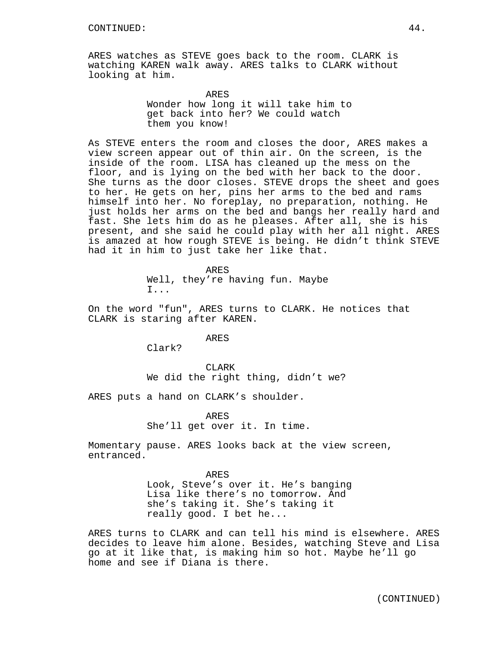ARES watches as STEVE goes back to the room. CLARK is watching KAREN walk away. ARES talks to CLARK without looking at him.

> ARES Wonder how long it will take him to get back into her? We could watch them you know!

As STEVE enters the room and closes the door, ARES makes a view screen appear out of thin air. On the screen, is the inside of the room. LISA has cleaned up the mess on the floor, and is lying on the bed with her back to the door. She turns as the door closes. STEVE drops the sheet and goes to her. He gets on her, pins her arms to the bed and rams himself into her. No foreplay, no preparation, nothing. He just holds her arms on the bed and bangs her really hard and fast. She lets him do as he pleases. After all, she is his present, and she said he could play with her all night. ARES is amazed at how rough STEVE is being. He didn't think STEVE had it in him to just take her like that.

> ARES Well, they're having fun. Maybe I...

On the word "fun", ARES turns to CLARK. He notices that CLARK is staring after KAREN.

ARES

Clark?

CLARK We did the right thing, didn't we?

ARES puts a hand on CLARK's shoulder.

ARES She'll get over it. In time.

Momentary pause. ARES looks back at the view screen, entranced.

> ARES Look, Steve's over it. He's banging Lisa like there's no tomorrow. And she's taking it. She's taking it really good. I bet he...

ARES turns to CLARK and can tell his mind is elsewhere. ARES decides to leave him alone. Besides, watching Steve and Lisa go at it like that, is making him so hot. Maybe he'll go home and see if Diana is there.

(CONTINUED)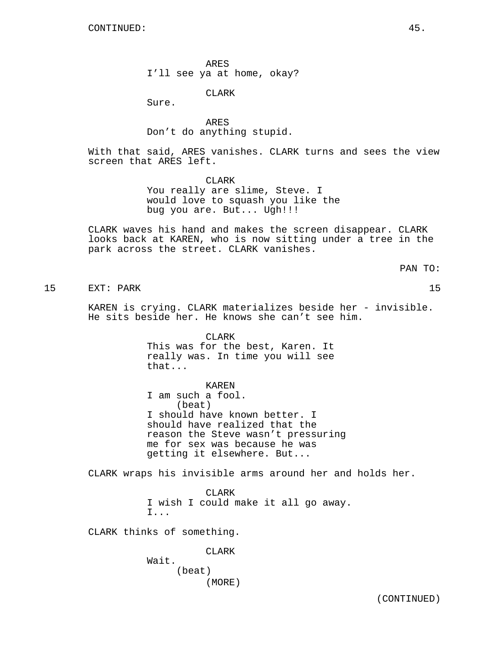ARES I'll see ya at home, okay?

CLARK

Sure.

ARES Don't do anything stupid.

With that said, ARES vanishes. CLARK turns and sees the view screen that ARES left.

> CLARK You really are slime, Steve. I would love to squash you like the bug you are. But... Ugh!!!

CLARK waves his hand and makes the screen disappear. CLARK looks back at KAREN, who is now sitting under a tree in the park across the street. CLARK vanishes.

PAN TO:

15 EXT: PARK 15

KAREN is crying. CLARK materializes beside her - invisible. He sits beside her. He knows she can't see him.

> CLARK This was for the best, Karen. It really was. In time you will see that...

> > KAREN

I am such a fool. (beat) I should have known better. I should have realized that the reason the Steve wasn't pressuring me for sex was because he was getting it elsewhere. But...

CLARK wraps his invisible arms around her and holds her.

CLARK I wish I could make it all go away. I...

CLARK thinks of something.

CLARK

Wait. (beat) (MORE)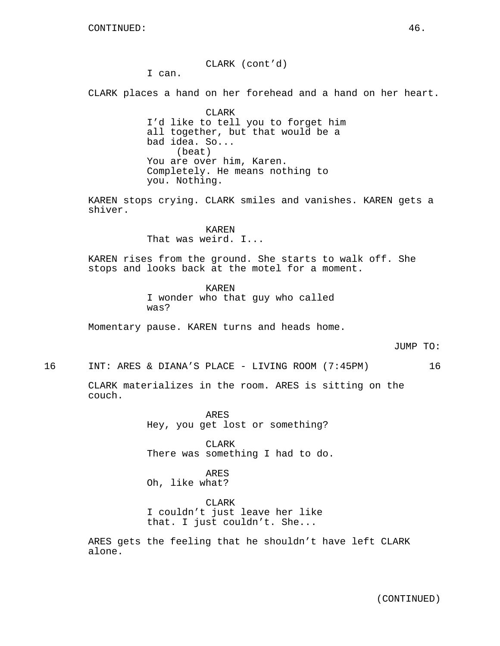CLARK (cont'd)

I can.

CLARK places a hand on her forehead and a hand on her heart.

CLARK I'd like to tell you to forget him all together, but that would be a bad idea. So... (beat) You are over him, Karen. Completely. He means nothing to you. Nothing.

KAREN stops crying. CLARK smiles and vanishes. KAREN gets a shiver.

> KAREN That was weird. I...

KAREN rises from the ground. She starts to walk off. She stops and looks back at the motel for a moment.

> KAREN I wonder who that guy who called was?

Momentary pause. KAREN turns and heads home.

JUMP TO:

16 INT: ARES & DIANA'S PLACE - LIVING ROOM (7:45PM) 16

CLARK materializes in the room. ARES is sitting on the couch.

> ARES Hey, you get lost or something?

CLARK There was something I had to do.

ARES Oh, like what?

CLARK I couldn't just leave her like that. I just couldn't. She...

ARES gets the feeling that he shouldn't have left CLARK alone.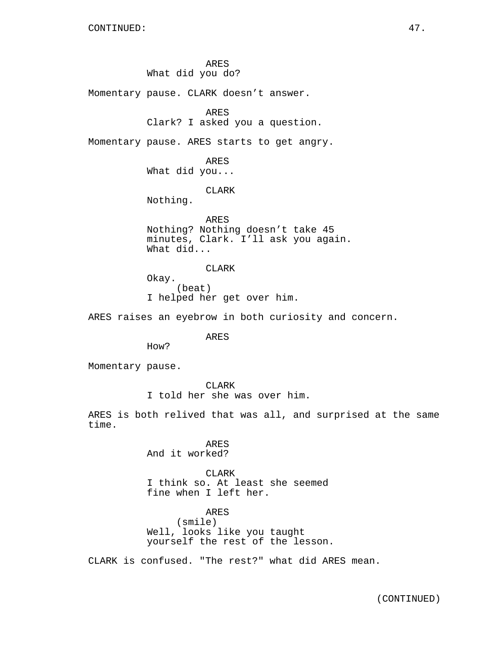ARES What did you do?

Momentary pause. CLARK doesn't answer.

```
ARES
```
Clark? I asked you a question.

Momentary pause. ARES starts to get angry.

ARES What did you...

CLARK

Nothing.

ARES Nothing? Nothing doesn't take 45 minutes, Clark. I'll ask you again. What did...

CLARK Okay. (beat) I helped her get over him.

ARES raises an eyebrow in both curiosity and concern.

ARES

How?

Momentary pause.

CLARK

I told her she was over him.

ARES is both relived that was all, and surprised at the same time.

> ARES And it worked?

CLARK I think so. At least she seemed fine when I left her.

ARES (smile) Well, looks like you taught yourself the rest of the lesson.

CLARK is confused. "The rest?" what did ARES mean.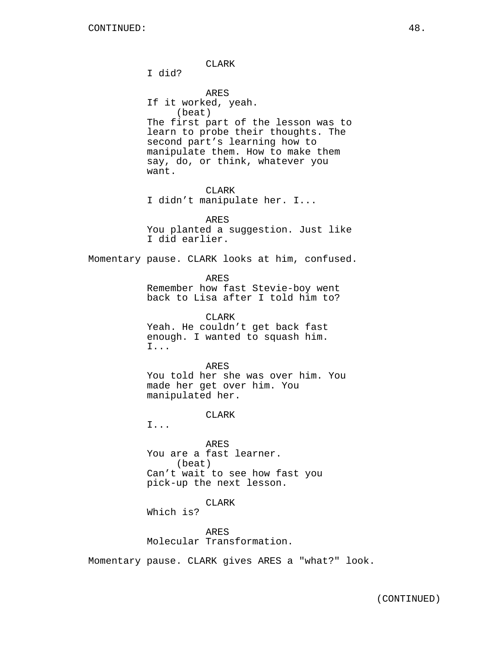CLARK I did? ARES If it worked, yeah. (beat) The first part of the lesson was to learn to probe their thoughts. The second part's learning how to manipulate them. How to make them say, do, or think, whatever you want. CLARK I didn't manipulate her. I... ARES You planted a suggestion. Just like I did earlier. Momentary pause. CLARK looks at him, confused. ARES Remember how fast Stevie-boy went back to Lisa after I told him to? CLARK Yeah. He couldn't get back fast enough. I wanted to squash him. I... ARES You told her she was over him. You made her get over him. You manipulated her. CLARK I... ARES You are a fast learner. (beat) Can't wait to see how fast you pick-up the next lesson. CLARK Which is? ARES Molecular Transformation. Momentary pause. CLARK gives ARES a "what?" look.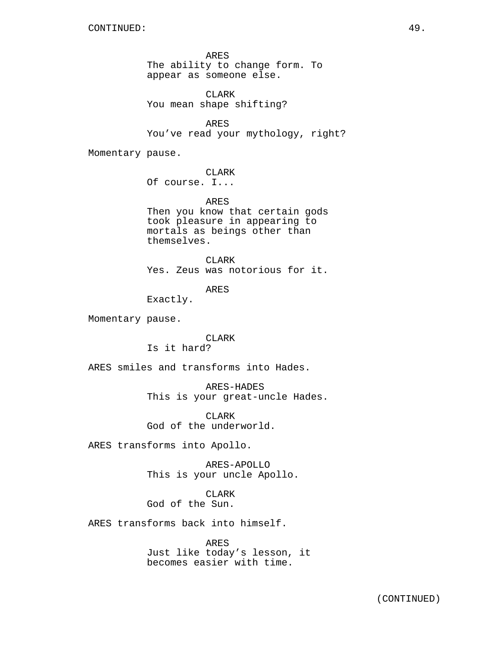ARES The ability to change form. To appear as someone else.

CLARK You mean shape shifting?

ARES You've read your mythology, right?

Momentary pause.

CLARK

Of course. I...

ARES Then you know that certain gods took pleasure in appearing to mortals as beings other than themselves.

CLARK Yes. Zeus was notorious for it.

ARES

Exactly.

Momentary pause.

**CLARK** Is it hard?

ARES smiles and transforms into Hades.

ARES-HADES This is your great-uncle Hades.

CLARK God of the underworld.

ARES transforms into Apollo.

ARES-APOLLO This is your uncle Apollo.

CLARK God of the Sun.

ARES transforms back into himself.

ARES Just like today's lesson, it becomes easier with time.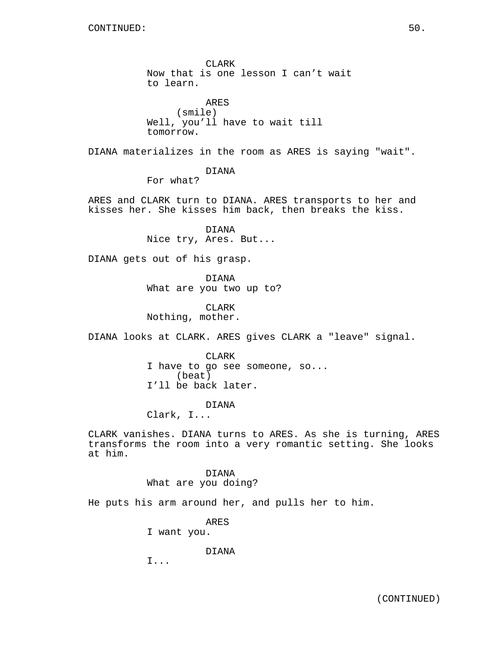CLARK Now that is one lesson I can't wait to learn. ARES (smile) Well, you'll have to wait till tomorrow. DIANA materializes in the room as ARES is saying "wait". DIANA For what? ARES and CLARK turn to DIANA. ARES transports to her and kisses her. She kisses him back, then breaks the kiss. DIANA Nice try, Ares. But... DIANA gets out of his grasp. DIANA What are you two up to? CLARK Nothing, mother. DIANA looks at CLARK. ARES gives CLARK a "leave" signal. CLARK I have to go see someone, so... (beat) I'll be back later. DIANA Clark, I... CLARK vanishes. DIANA turns to ARES. As she is turning, ARES transforms the room into a very romantic setting. She looks at him. DIANA What are you doing? He puts his arm around her, and pulls her to him.

ARES

I want you.

DIANA

I...

(CONTINUED)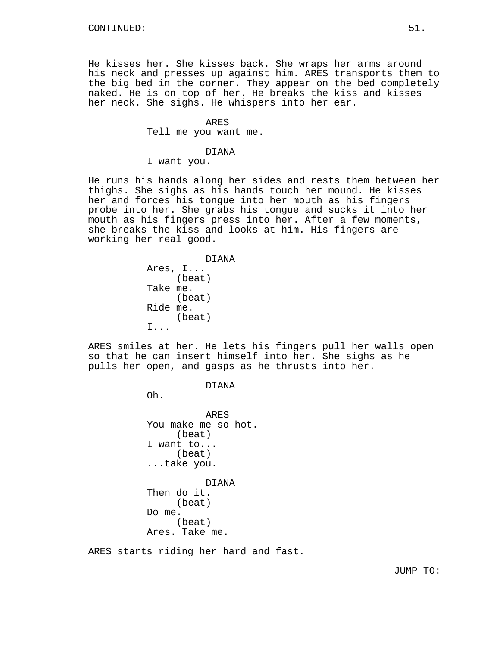He kisses her. She kisses back. She wraps her arms around his neck and presses up against him. ARES transports them to the big bed in the corner. They appear on the bed completely naked. He is on top of her. He breaks the kiss and kisses her neck. She sighs. He whispers into her ear.

# ARES Tell me you want me.

#### DIANA

I want you.

He runs his hands along her sides and rests them between her thighs. She sighs as his hands touch her mound. He kisses her and forces his tongue into her mouth as his fingers probe into her. She grabs his tongue and sucks it into her mouth as his fingers press into her. After a few moments, she breaks the kiss and looks at him. His fingers are working her real good.

```
DIANA
Ares, I...
     (beat)
Take me.
     (beat)
Ride me.
     (beat)
I...
```
ARES smiles at her. He lets his fingers pull her walls open so that he can insert himself into her. She sighs as he pulls her open, and gasps as he thrusts into her.

## DIANA

Oh.

ARES You make me so hot. (beat) I want to... (beat) ...take you.

DIANA Then do it. (beat) Do me. (beat) Ares. Take me.

ARES starts riding her hard and fast.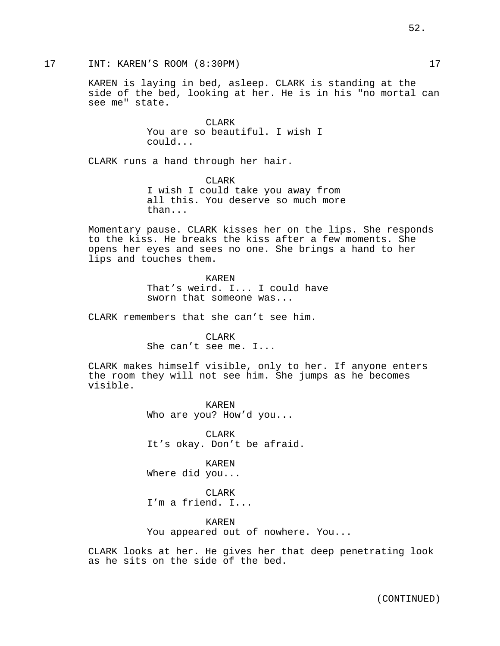KAREN is laying in bed, asleep. CLARK is standing at the side of the bed, looking at her. He is in his "no mortal can see me" state.

> CLARK You are so beautiful. I wish I could...

CLARK runs a hand through her hair.

CLARK I wish I could take you away from all this. You deserve so much more than...

Momentary pause. CLARK kisses her on the lips. She responds to the kiss. He breaks the kiss after a few moments. She opens her eyes and sees no one. She brings a hand to her lips and touches them.

> KAREN That's weird. I... I could have sworn that someone was...

CLARK remembers that she can't see him.

CLARK She can't see me. I...

CLARK makes himself visible, only to her. If anyone enters the room they will not see him. She jumps as he becomes visible.

> KAREN Who are you? How'd you...

CLARK It's okay. Don't be afraid.

KAREN Where did you...

CLARK I'm a friend. I...

KAREN You appeared out of nowhere. You...

CLARK looks at her. He gives her that deep penetrating look as he sits on the side of the bed.

52.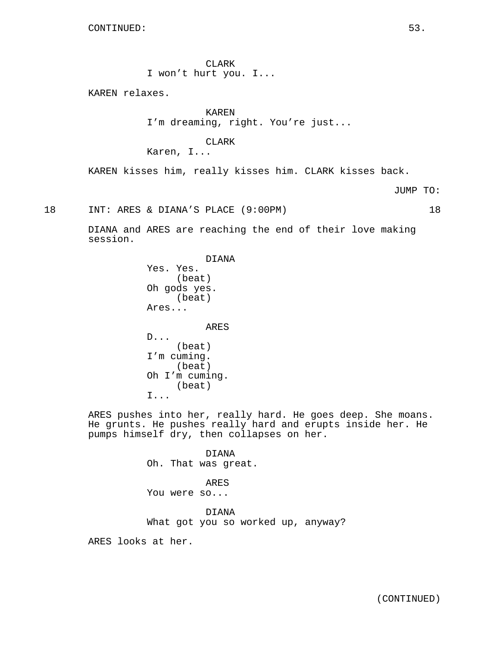CLARK I won't hurt you. I...

KAREN relaxes.

KAREN I'm dreaming, right. You're just...

CLARK Karen, I...

KAREN kisses him, really kisses him. CLARK kisses back.

JUMP TO:

18 INT: ARES & DIANA'S PLACE (9:00PM) 18

DIANA and ARES are reaching the end of their love making session.

> DIANA Yes. Yes. (beat) Oh gods yes. (beat) Ares...

ARES D... (beat) I'm cuming. (beat) Oh I'm cuming. (beat) I...

ARES pushes into her, really hard. He goes deep. She moans. He grunts. He pushes really hard and erupts inside her. He pumps himself dry, then collapses on her.

DIANA Oh. That was great. ARES You were so... DIANA What got you so worked up, anyway?

ARES looks at her.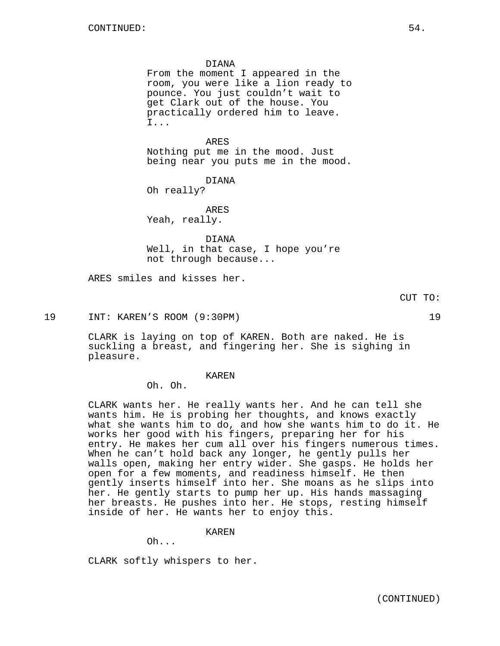#### DIANA

From the moment I appeared in the room, you were like a lion ready to pounce. You just couldn't wait to get Clark out of the house. You practically ordered him to leave. I...

ARES

Nothing put me in the mood. Just being near you puts me in the mood.

DIANA

Oh really?

ARES Yeah, really.

DIANA

Well, in that case, I hope you're not through because...

ARES smiles and kisses her.

CUT TO:

19 INT: KAREN'S ROOM (9:30PM) 19

CLARK is laying on top of KAREN. Both are naked. He is suckling a breast, and fingering her. She is sighing in pleasure.

KAREN

Oh. Oh.

CLARK wants her. He really wants her. And he can tell she wants him. He is probing her thoughts, and knows exactly what she wants him to do, and how she wants him to do it. He works her good with his fingers, preparing her for his entry. He makes her cum all over his fingers numerous times. When he can't hold back any longer, he gently pulls her walls open, making her entry wider. She gasps. He holds her open for a few moments, and readiness himself. He then gently inserts himself into her. She moans as he slips into her. He gently starts to pump her up. His hands massaging her breasts. He pushes into her. He stops, resting himself inside of her. He wants her to enjoy this.

KAREN

Oh...

CLARK softly whispers to her.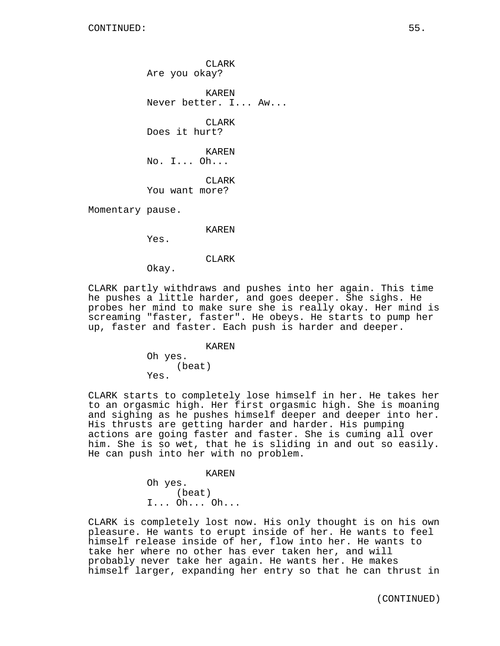CLARK Are you okay?

KAREN Never better. I... Aw...

CLARK Does it hurt?

KAREN No. I... Oh...

CLARK You want more?

Momentary pause.

KAREN

Yes.

CLARK

Okay.

CLARK partly withdraws and pushes into her again. This time he pushes a little harder, and goes deeper. She sighs. He probes her mind to make sure she is really okay. Her mind is screaming "faster, faster". He obeys. He starts to pump her up, faster and faster. Each push is harder and deeper.

KAREN

Oh yes. (beat) Yes.

CLARK starts to completely lose himself in her. He takes her to an orgasmic high. Her first orgasmic high. She is moaning and sighing as he pushes himself deeper and deeper into her. His thrusts are getting harder and harder. His pumping actions are going faster and faster. She is cuming all over him. She is so wet, that he is sliding in and out so easily. He can push into her with no problem.

KAREN

Oh yes. (beat) I... Oh... Oh...

CLARK is completely lost now. His only thought is on his own pleasure. He wants to erupt inside of her. He wants to feel himself release inside of her, flow into her. He wants to take her where no other has ever taken her, and will probably never take her again. He wants her. He makes himself larger, expanding her entry so that he can thrust in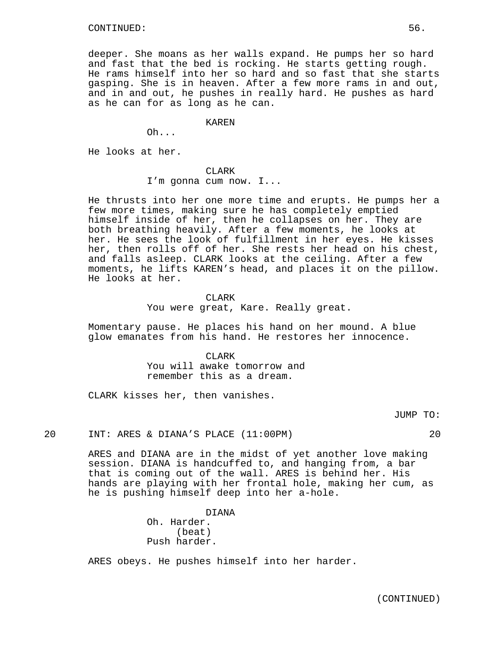deeper. She moans as her walls expand. He pumps her so hard and fast that the bed is rocking. He starts getting rough. He rams himself into her so hard and so fast that she starts gasping. She is in heaven. After a few more rams in and out, and in and out, he pushes in really hard. He pushes as hard as he can for as long as he can.

KAREN

Oh...

He looks at her.

#### CLARK

I'm gonna cum now. I...

He thrusts into her one more time and erupts. He pumps her a few more times, making sure he has completely emptied himself inside of her, then he collapses on her. They are both breathing heavily. After a few moments, he looks at her. He sees the look of fulfillment in her eyes. He kisses her, then rolls off of her. She rests her head on his chest, and falls asleep. CLARK looks at the ceiling. After a few moments, he lifts KAREN's head, and places it on the pillow. He looks at her.

### **CLARK**

You were great, Kare. Really great.

Momentary pause. He places his hand on her mound. A blue glow emanates from his hand. He restores her innocence.

#### CLARK

You will awake tomorrow and remember this as a dream.

CLARK kisses her, then vanishes.

JUMP TO:

## 20 INT: ARES & DIANA'S PLACE (11:00PM) 20

ARES and DIANA are in the midst of yet another love making session. DIANA is handcuffed to, and hanging from, a bar that is coming out of the wall. ARES is behind her. His hands are playing with her frontal hole, making her cum, as he is pushing himself deep into her a-hole.

> DIANA Oh. Harder. (beat) Push harder.

ARES obeys. He pushes himself into her harder.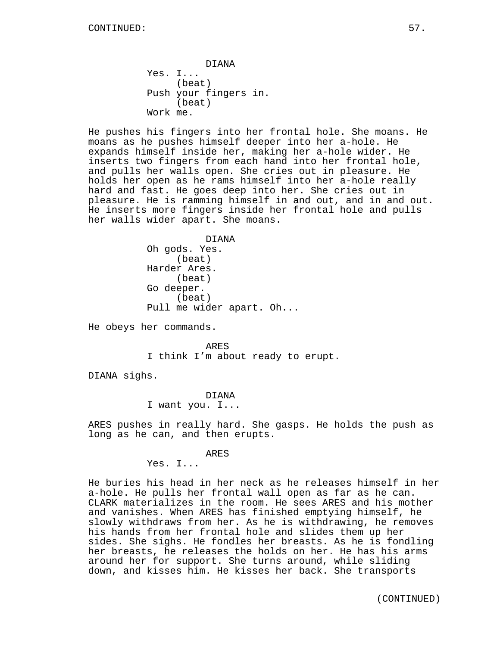DIANA Yes. I... (beat) Push your fingers in. (beat) Work me.

He pushes his fingers into her frontal hole. She moans. He moans as he pushes himself deeper into her a-hole. He expands himself inside her, making her a-hole wider. He inserts two fingers from each hand into her frontal hole, and pulls her walls open. She cries out in pleasure. He holds her open as he rams himself into her a-hole really hard and fast. He goes deep into her. She cries out in pleasure. He is ramming himself in and out, and in and out. He inserts more fingers inside her frontal hole and pulls her walls wider apart. She moans.

> DIANA Oh gods. Yes. (beat) Harder Ares. (beat) Go deeper. (beat) Pull me wider apart. Oh...

He obeys her commands.

ARES I think I'm about ready to erupt.

DIANA sighs.

DIANA I want you. I...

ARES pushes in really hard. She gasps. He holds the push as long as he can, and then erupts.

#### ARES

Yes. I...

He buries his head in her neck as he releases himself in her a-hole. He pulls her frontal wall open as far as he can. CLARK materializes in the room. He sees ARES and his mother and vanishes. When ARES has finished emptying himself, he slowly withdraws from her. As he is withdrawing, he removes his hands from her frontal hole and slides them up her sides. She sighs. He fondles her breasts. As he is fondling her breasts, he releases the holds on her. He has his arms around her for support. She turns around, while sliding down, and kisses him. He kisses her back. She transports

(CONTINUED)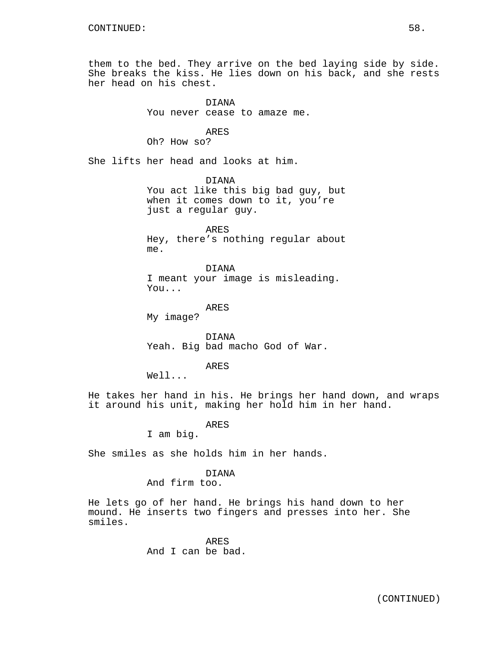them to the bed. They arrive on the bed laying side by side. She breaks the kiss. He lies down on his back, and she rests her head on his chest.

> DIANA You never cease to amaze me.

> > ARES

Oh? How so?

She lifts her head and looks at him.

DIANA You act like this big bad guy, but when it comes down to it, you're just a regular guy.

ARES Hey, there's nothing regular about me.

DIANA I meant your image is misleading. You...

ARES

My image?

DIANA Yeah. Big bad macho God of War.

ARES

Well...

He takes her hand in his. He brings her hand down, and wraps it around his unit, making her hold him in her hand.

ARES

I am big.

She smiles as she holds him in her hands.

## DIANA

And firm too.

He lets go of her hand. He brings his hand down to her mound. He inserts two fingers and presses into her. She smiles.

> ARES And I can be bad.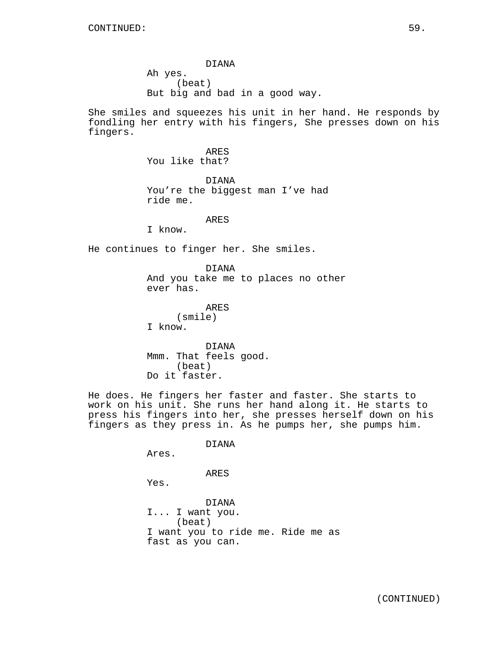DIANA Ah yes. (beat) But big and bad in a good way.

She smiles and squeezes his unit in her hand. He responds by fondling her entry with his fingers, She presses down on his fingers.

> ARES You like that?

DIANA You're the biggest man I've had ride me.

## ARES

I know.

He continues to finger her. She smiles.

DIANA And you take me to places no other ever has.

ARES (smile) I know.

DIANA Mmm. That feels good. (beat) Do it faster.

He does. He fingers her faster and faster. She starts to work on his unit. She runs her hand along it. He starts to press his fingers into her, she presses herself down on his fingers as they press in. As he pumps her, she pumps him.

DIANA

Ares.

# ARES

Yes.

DIANA I... I want you. (beat) I want you to ride me. Ride me as fast as you can.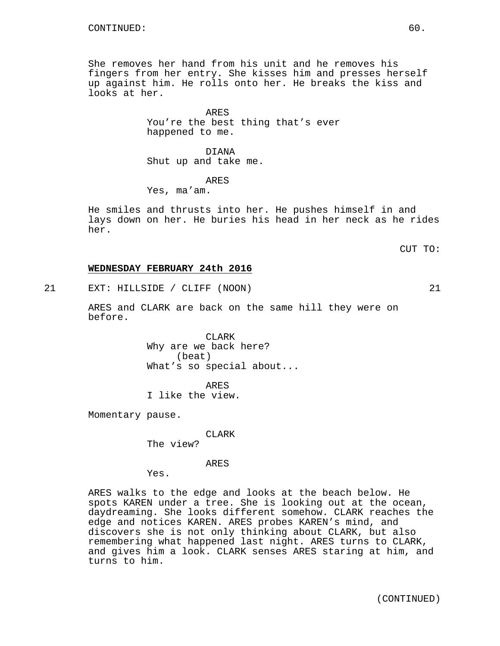She removes her hand from his unit and he removes his fingers from her entry. She kisses him and presses herself up against him. He rolls onto her. He breaks the kiss and looks at her.

> ARES You're the best thing that's ever happened to me.

DIANA Shut up and take me.

ARES

Yes, ma'am.

He smiles and thrusts into her. He pushes himself in and lays down on her. He buries his head in her neck as he rides her.

CUT TO:

## **WEDNESDAY FEBRUARY 24th 2016**

21 EXT: HILLSIDE / CLIFF (NOON) 21

ARES and CLARK are back on the same hill they were on before.

> CLARK Why are we back here? (beat) What's so special about...

ARES I like the view.

Momentary pause.

CLARK

The view?

ARES

Yes.

ARES walks to the edge and looks at the beach below. He spots KAREN under a tree. She is looking out at the ocean, daydreaming. She looks different somehow. CLARK reaches the edge and notices KAREN. ARES probes KAREN's mind, and discovers she is not only thinking about CLARK, but also remembering what happened last night. ARES turns to CLARK, and gives him a look. CLARK senses ARES staring at him, and turns to him.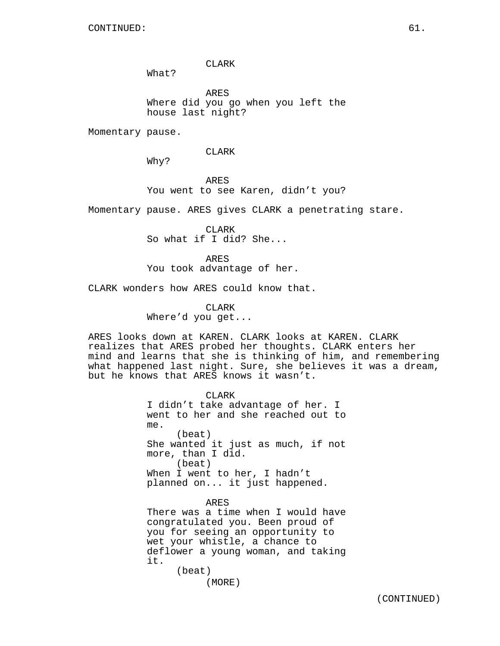CLARK

What?

ARES Where did you go when you left the house last night?

Momentary pause.

CLARK

Why?

ARES You went to see Karen, didn't you?

Momentary pause. ARES gives CLARK a penetrating stare.

CLARK So what if I did? She...

ARES You took advantage of her.

CLARK wonders how ARES could know that.

CLARK Where'd you get...

ARES looks down at KAREN. CLARK looks at KAREN. CLARK realizes that ARES probed her thoughts. CLARK enters her mind and learns that she is thinking of him, and remembering what happened last night. Sure, she believes it was a dream, but he knows that ARES knows it wasn't.

> CLARK I didn't take advantage of her. I went to her and she reached out to me. (beat) She wanted it just as much, if not more, than I did. (beat) When I went to her, I hadn't planned on... it just happened. ARES

> There was a time when I would have congratulated you. Been proud of you for seeing an opportunity to wet your whistle, a chance to deflower a young woman, and taking it. (beat)

> > (MORE)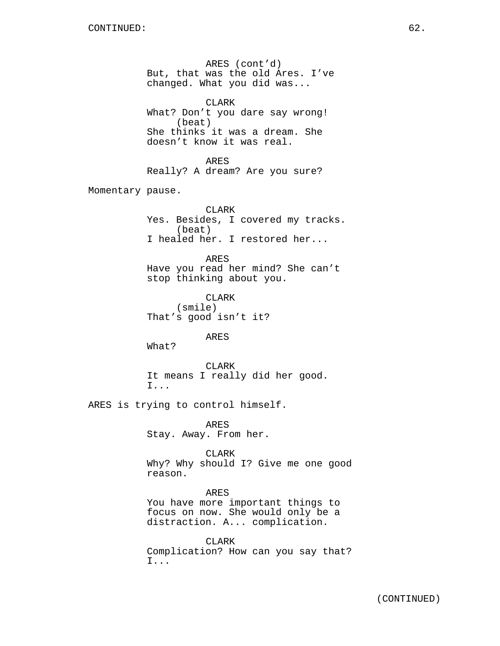ARES (cont'd) But, that was the old Ares. I've changed. What you did was... CLARK What? Don't you dare say wrong! (beat) She thinks it was a dream. She doesn't know it was real. ARES Really? A dream? Are you sure? Momentary pause. CLARK Yes. Besides, I covered my tracks. (beat) I healed her. I restored her... ARES Have you read her mind? She can't stop thinking about you. CLARK (smile) That's good isn't it? ARES What? CLARK It means I really did her good. I... ARES is trying to control himself. ARES Stay. Away. From her. CLARK Why? Why should I? Give me one good reason. ARES You have more important things to focus on now. She would only be a distraction. A... complication. CLARK

Complication? How can you say that? I...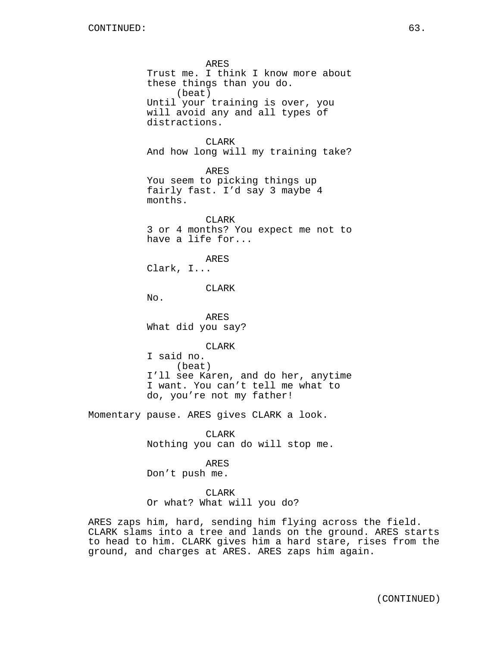ARES Trust me. I think I know more about these things than you do. (beat) Until your training is over, you will avoid any and all types of distractions. CLARK And how long will my training take? ARES You seem to picking things up fairly fast. I'd say 3 maybe 4 months. CLARK 3 or 4 months? You expect me not to have a life for... ARES Clark, I... CLARK  $No.$ ARES What did you say? CLARK I said no. (beat) I'll see Karen, and do her, anytime I want. You can't tell me what to do, you're not my father! Momentary pause. ARES gives CLARK a look. CLARK Nothing you can do will stop me. ARES Don't push me.

CLARK

Or what? What will you do?

ARES zaps him, hard, sending him flying across the field. CLARK slams into a tree and lands on the ground. ARES starts to head to him. CLARK gives him a hard stare, rises from the ground, and charges at ARES. ARES zaps him again.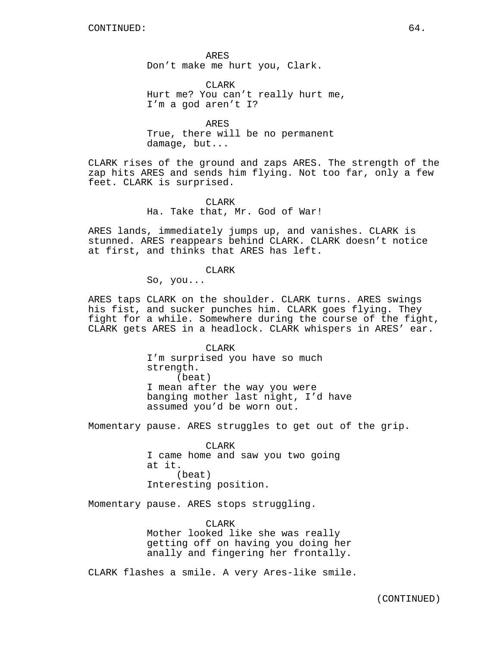ARES Don't make me hurt you, Clark.

CLARK Hurt me? You can't really hurt me, I'm a god aren't I?

ARES True, there will be no permanent damage, but...

CLARK rises of the ground and zaps ARES. The strength of the zap hits ARES and sends him flying. Not too far, only a few feet. CLARK is surprised.

> CLARK Ha. Take that, Mr. God of War!

ARES lands, immediately jumps up, and vanishes. CLARK is stunned. ARES reappears behind CLARK. CLARK doesn't notice at first, and thinks that ARES has left.

### CLARK

So, you...

ARES taps CLARK on the shoulder. CLARK turns. ARES swings his fist, and sucker punches him. CLARK goes flying. They fight for a while. Somewhere during the course of the fight, CLARK gets ARES in a headlock. CLARK whispers in ARES' ear.

> CLARK I'm surprised you have so much strength. (beat) I mean after the way you were banging mother last night, I'd have assumed you'd be worn out.

Momentary pause. ARES struggles to get out of the grip.

CLARK I came home and saw you two going at it. (beat) Interesting position.

Momentary pause. ARES stops struggling.

CLARK Mother looked like she was really getting off on having you doing her anally and fingering her frontally.

CLARK flashes a smile. A very Ares-like smile.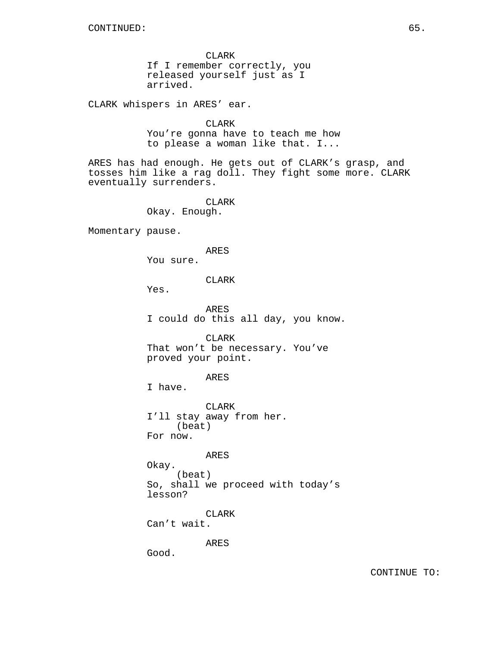CLARK If I remember correctly, you released yourself just as I arrived.

CLARK whispers in ARES' ear.

CLARK You're gonna have to teach me how to please a woman like that. I...

ARES has had enough. He gets out of CLARK's grasp, and tosses him like a rag doll. They fight some more. CLARK eventually surrenders.

> CLARK Okay. Enough.

Momentary pause.

ARES

You sure.

CLARK

Yes.

ARES I could do this all day, you know.

CLARK That won't be necessary. You've proved your point.

ARES

I have.

CLARK I'll stay away from her. (beat) For now.

ARES

Okay. (beat) So, shall we proceed with today's lesson?

CLARK Can't wait.

ARES

Good.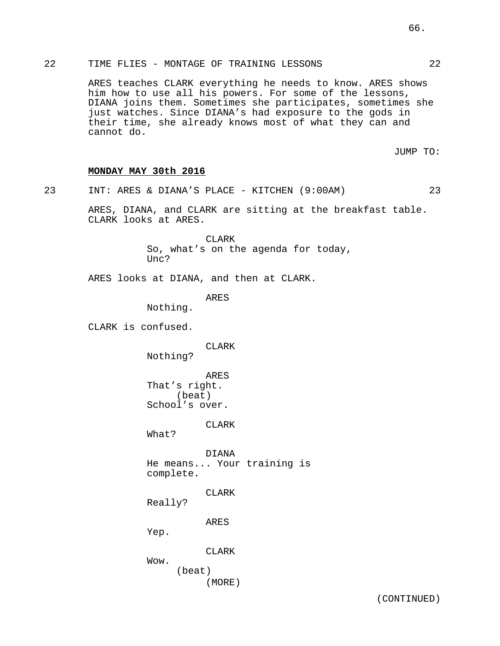# 22 TIME FLIES - MONTAGE OF TRAINING LESSONS 22

ARES teaches CLARK everything he needs to know. ARES shows him how to use all his powers. For some of the lessons, DIANA joins them. Sometimes she participates, sometimes she just watches. Since DIANA's had exposure to the gods in their time, she already knows most of what they can and cannot do.

JUMP TO:

# **MONDAY MAY 30th 2016**

23 INT: ARES & DIANA'S PLACE - KITCHEN (9:00AM) 23 ARES, DIANA, and CLARK are sitting at the breakfast table. CLARK looks at ARES. CLARK So, what's on the agenda for today, Unc? ARES looks at DIANA, and then at CLARK. ARES Nothing. CLARK is confused.

> CLARK Nothing?

ARES That's right. (beat) School's over.

CLARK

What?

DIANA He means... Your training is complete.

CLARK

Really?

ARES

Yep.

CLARK

Wow. (beat) (MORE)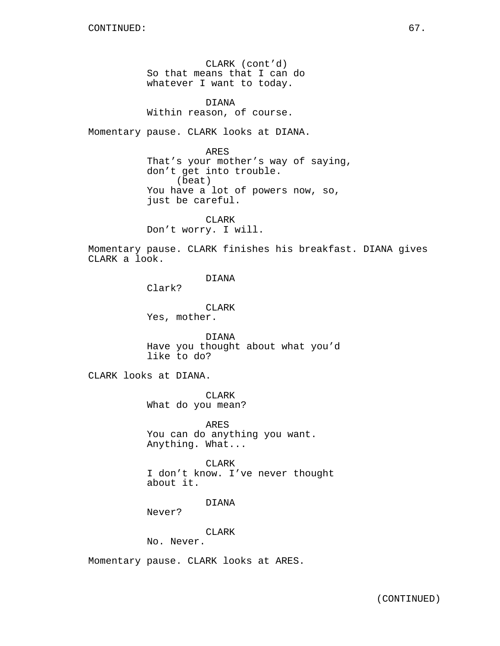CLARK (cont'd) So that means that I can do whatever I want to today.

DIANA Within reason, of course.

Momentary pause. CLARK looks at DIANA.

ARES That's your mother's way of saying, don't get into trouble. (beat) You have a lot of powers now, so, just be careful.

CLARK Don't worry. I will.

Momentary pause. CLARK finishes his breakfast. DIANA gives CLARK a look.

DIANA

Clark?

CLARK Yes, mother.

DIANA Have you thought about what you'd like to do?

CLARK looks at DIANA.

CLARK What do you mean?

ARES You can do anything you want. Anything. What...

**CLARK** I don't know. I've never thought about it.

DIANA

Never?

CLARK

No. Never.

Momentary pause. CLARK looks at ARES.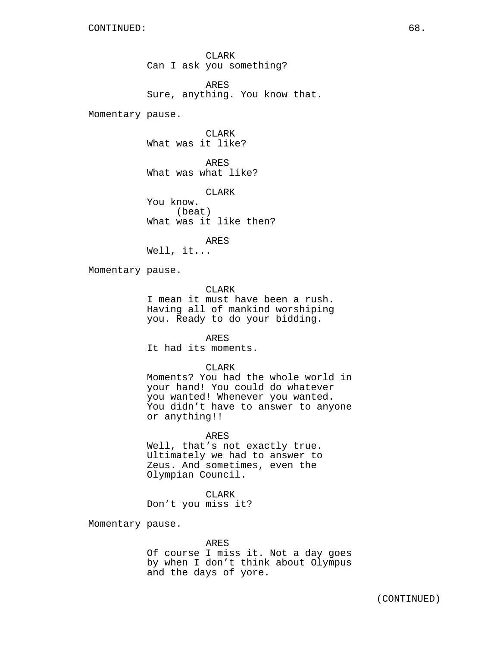CLARK Can I ask you something? ARES

Sure, anything. You know that.

Momentary pause.

CLARK What was it like?

ARES What was what like?

CLARK You know. (beat) What was it like then?

ARES Well, it...

Momentary pause.

CLARK

I mean it must have been a rush. Having all of mankind worshiping you. Ready to do your bidding.

ARES It had its moments.

## CLARK

Moments? You had the whole world in your hand! You could do whatever you wanted! Whenever you wanted. You didn't have to answer to anyone or anything!!

## ARES

Well, that's not exactly true. Ultimately we had to answer to Zeus. And sometimes, even the Olympian Council.

CLARK

Don't you miss it?

Momentary pause.

#### ARES

Of course I miss it. Not a day goes by when I don't think about Olympus and the days of yore.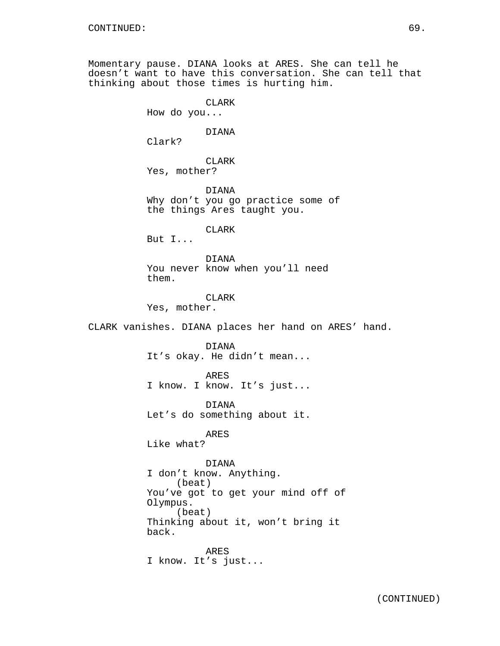Momentary pause. DIANA looks at ARES. She can tell he doesn't want to have this conversation. She can tell that thinking about those times is hurting him.

CLARK

How do you...

# DIANA

Clark?

CLARK Yes, mother?

DIANA Why don't you go practice some of the things Ares taught you.

CLARK

But I...

DIANA You never know when you'll need them.

CLARK

Yes, mother.

CLARK vanishes. DIANA places her hand on ARES' hand.

DIANA It's okay. He didn't mean...

ARES I know. I know. It's just...

DIANA Let's do something about it.

ARES Like what?

# DIANA

I don't know. Anything. (beat) You've got to get your mind off of Olympus. (beat) Thinking about it, won't bring it back.

ARES I know. It's just...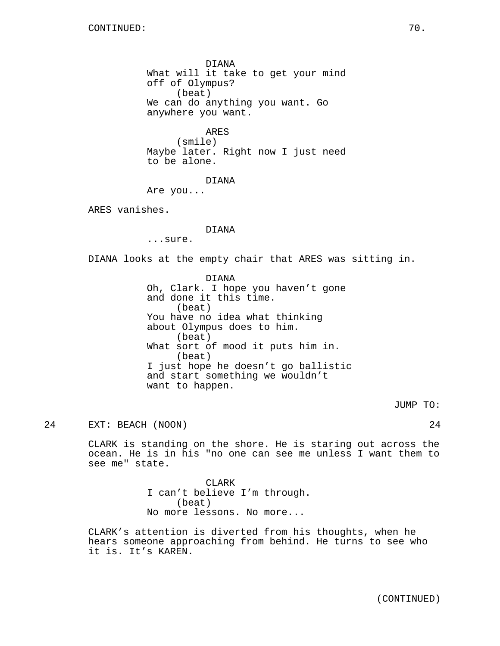DIANA What will it take to get your mind off of Olympus? (beat) We can do anything you want. Go anywhere you want.

ARES (smile) Maybe later. Right now I just need to be alone.

DIANA

Are you...

ARES vanishes.

### DIANA

...sure.

DIANA looks at the empty chair that ARES was sitting in.

DIANA Oh, Clark. I hope you haven't gone and done it this time. (beat) You have no idea what thinking about Olympus does to him. (beat) What sort of mood it puts him in. (beat) I just hope he doesn't go ballistic and start something we wouldn't want to happen.

JUMP TO:

24 EXT: BEACH (NOON) 24

CLARK is standing on the shore. He is staring out across the ocean. He is in his "no one can see me unless I want them to see me" state.

> CLARK I can't believe I'm through. (beat) No more lessons. No more...

CLARK's attention is diverted from his thoughts, when he hears someone approaching from behind. He turns to see who it is. It's KAREN.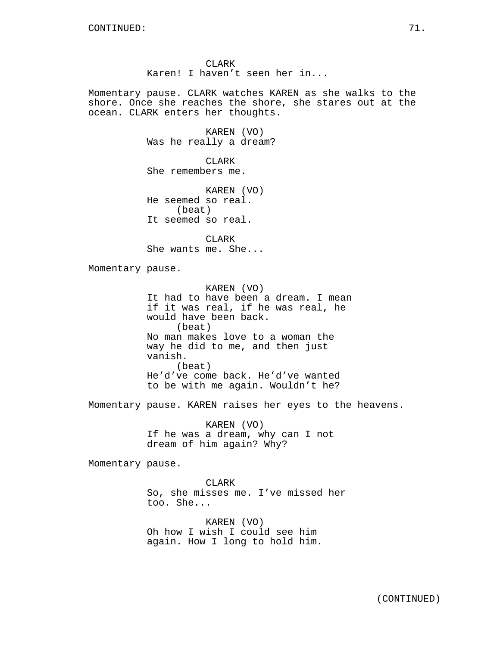Momentary pause. CLARK watches KAREN as she walks to the shore. Once she reaches the shore, she stares out at the ocean. CLARK enters her thoughts.

> KAREN (VO) Was he really a dream?

CLARK She remembers me.

KAREN (VO) He seemed so real. (beat) It seemed so real.

CLARK She wants me. She...

Momentary pause.

KAREN (VO) It had to have been a dream. I mean if it was real, if he was real, he would have been back. (beat) No man makes love to a woman the way he did to me, and then just vanish. (beat) He'd've come back. He'd've wanted to be with me again. Wouldn't he?

Momentary pause. KAREN raises her eyes to the heavens.

KAREN (VO) If he was a dream, why can I not dream of him again? Why?

Momentary pause.

CLARK So, she misses me. I've missed her too. She...

KAREN (VO) Oh how I wish I could see him again. How I long to hold him.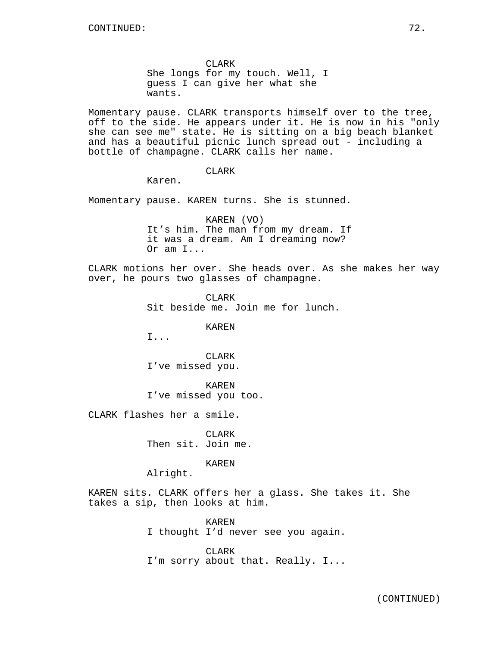CLARK She longs for my touch. Well, I guess I can give her what she wants.

Momentary pause. CLARK transports himself over to the tree, off to the side. He appears under it. He is now in his "only she can see me" state. He is sitting on a big beach blanket and has a beautiful picnic lunch spread out - including a bottle of champagne. CLARK calls her name.

CLARK

Karen.

Momentary pause. KAREN turns. She is stunned.

KAREN (VO) It's him. The man from my dream. If it was a dream. Am I dreaming now? Or am I...

CLARK motions her over. She heads over. As she makes her way over, he pours two glasses of champagne.

> **CLARK** Sit beside me. Join me for lunch.

> > KAREN

I...

CLARK I've missed you.

KAREN I've missed you too.

CLARK flashes her a smile.

CLARK Then sit. Join me.

KAREN

Alright.

KAREN sits. CLARK offers her a glass. She takes it. She takes a sip, then looks at him.

> KAREN I thought I'd never see you again.

> CLARK I'm sorry about that. Really. I...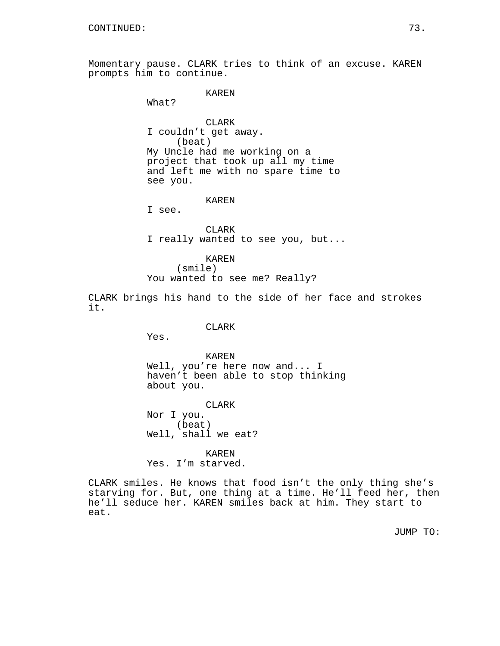Momentary pause. CLARK tries to think of an excuse. KAREN prompts him to continue.

# KAREN

What?

CLARK I couldn't get away. (beat) My Uncle had me working on a project that took up all my time and left me with no spare time to see you.

### KAREN

I see.

CLARK I really wanted to see you, but...

### KAREN

(smile) You wanted to see me? Really?

CLARK brings his hand to the side of her face and strokes it.

## CLARK

Yes.

# KAREN Well, you're here now and... I haven't been able to stop thinking about you.

CLARK Nor I you. (beat) Well, shall we eat?

KAREN Yes. I'm starved.

CLARK smiles. He knows that food isn't the only thing she's starving for. But, one thing at a time. He'll feed her, then he'll seduce her. KAREN smiles back at him. They start to eat.

JUMP TO: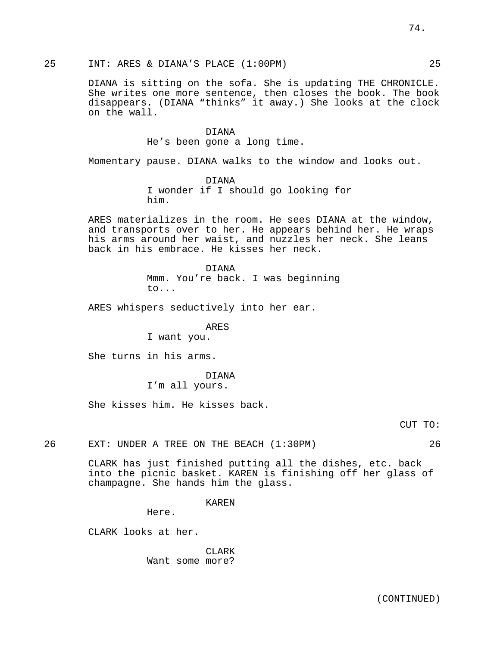25 INT: ARES & DIANA'S PLACE (1:00PM) 25

DIANA is sitting on the sofa. She is updating THE CHRONICLE. She writes one more sentence, then closes the book. The book disappears. (DIANA "thinks" it away.) She looks at the clock on the wall.

> DIANA He's been gone a long time.

Momentary pause. DIANA walks to the window and looks out.

DIANA I wonder if I should go looking for him.

ARES materializes in the room. He sees DIANA at the window, and transports over to her. He appears behind her. He wraps his arms around her waist, and nuzzles her neck. She leans back in his embrace. He kisses her neck.

> DIANA Mmm. You're back. I was beginning to...

ARES whispers seductively into her ear.

ARES

I want you.

She turns in his arms.

DIANA

I'm all yours.

She kisses him. He kisses back.

CUT TO:

26 EXT: UNDER A TREE ON THE BEACH (1:30PM) 26

CLARK has just finished putting all the dishes, etc. back into the picnic basket. KAREN is finishing off her glass of champagne. She hands him the glass.

KAREN

Here.

CLARK looks at her.

CLARK Want some more?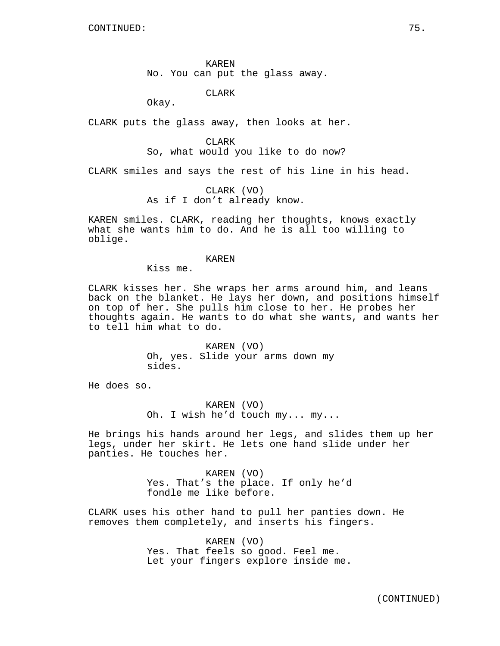KAREN No. You can put the glass away.

CLARK

Okay.

CLARK puts the glass away, then looks at her.

CLARK

So, what would you like to do now?

CLARK smiles and says the rest of his line in his head.

CLARK (VO) As if I don't already know.

KAREN smiles. CLARK, reading her thoughts, knows exactly what she wants him to do. And he is all too willing to oblige.

### KAREN

Kiss me.

CLARK kisses her. She wraps her arms around him, and leans back on the blanket. He lays her down, and positions himself on top of her. She pulls him close to her. He probes her thoughts again. He wants to do what she wants, and wants her to tell him what to do.

> KAREN (VO) Oh, yes. Slide your arms down my sides.

He does so.

KAREN (VO) Oh. I wish he'd touch my... my...

He brings his hands around her legs, and slides them up her legs, under her skirt. He lets one hand slide under her panties. He touches her.

> KAREN (VO) Yes. That's the place. If only he'd fondle me like before.

CLARK uses his other hand to pull her panties down. He removes them completely, and inserts his fingers.

> KAREN (VO) Yes. That feels so good. Feel me. Let your fingers explore inside me.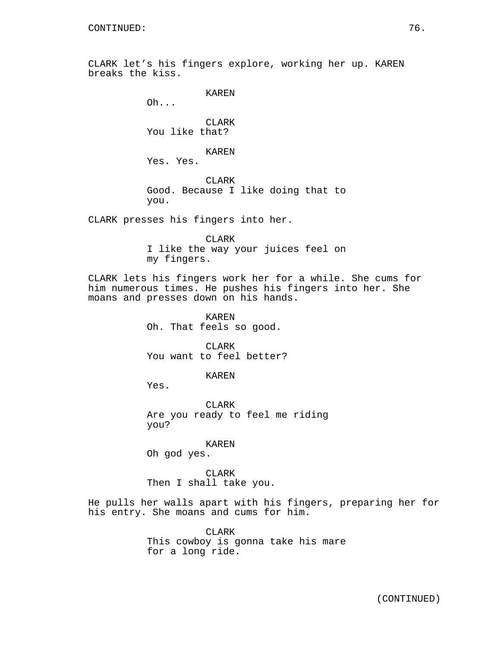CLARK let's his fingers explore, working her up. KAREN breaks the kiss.

```
KAREN
```
Oh...

CLARK You like that?

KAREN

Yes. Yes.

CLARK Good. Because I like doing that to you.

CLARK presses his fingers into her.

CLARK I like the way your juices feel on my fingers.

CLARK lets his fingers work her for a while. She cums for him numerous times. He pushes his fingers into her. She moans and presses down on his hands.

> KAREN Oh. That feels so good.

CLARK You want to feel better?

KAREN

Yes.

CLARK Are you ready to feel me riding you?

KAREN Oh god yes.

CLARK Then I shall take you.

He pulls her walls apart with his fingers, preparing her for his entry. She moans and cums for him.

> CLARK This cowboy is gonna take his mare for a long ride.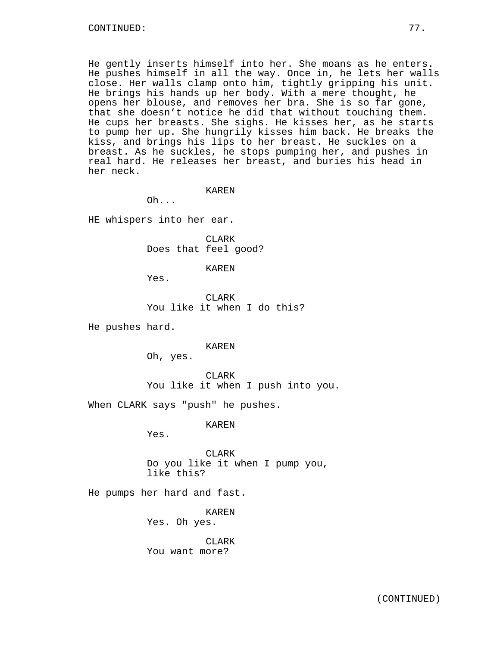He gently inserts himself into her. She moans as he enters. He pushes himself in all the way. Once in, he lets her walls close. Her walls clamp onto him, tightly gripping his unit. He brings his hands up her body. With a mere thought, he opens her blouse, and removes her bra. She is so far gone, that she doesn't notice he did that without touching them. He cups her breasts. She sighs. He kisses her, as he starts to pump her up. She hungrily kisses him back. He breaks the kiss, and brings his lips to her breast. He suckles on a breast. As he suckles, he stops pumping her, and pushes in real hard. He releases her breast, and buries his head in her neck.

#### KAREN

Oh...

HE whispers into her ear.

CLARK Does that feel good?

KAREN

Yes.

CLARK You like it when I do this?

He pushes hard.

KAREN

Oh, yes.

CLARK You like it when I push into you.

When CLARK says "push" he pushes.

KAREN

Yes.

CLARK Do you like it when I pump you, like this?

He pumps her hard and fast.

KAREN Yes. Oh yes.

CLARK You want more?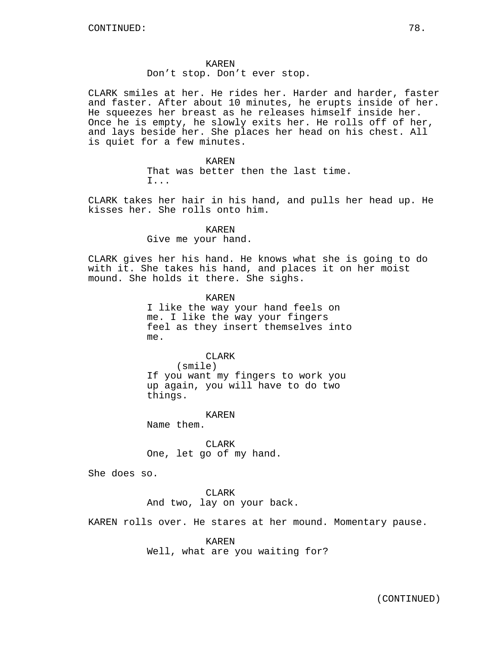# Don't stop. Don't ever stop.

CLARK smiles at her. He rides her. Harder and harder, faster and faster. After about 10 minutes, he erupts inside of her. He squeezes her breast as he releases himself inside her. Once he is empty, he slowly exits her. He rolls off of her, and lays beside her. She places her head on his chest. All is quiet for a few minutes.

> KAREN That was better then the last time. I...

CLARK takes her hair in his hand, and pulls her head up. He kisses her. She rolls onto him.

> KAREN Give me your hand.

CLARK gives her his hand. He knows what she is going to do with it. She takes his hand, and places it on her moist mound. She holds it there. She sighs.

> KAREN I like the way your hand feels on me. I like the way your fingers feel as they insert themselves into me.

> > CLARK

(smile) If you want my fingers to work you up again, you will have to do two things.

KAREN

Name them.

CLARK One, let go of my hand.

She does so.

CLARK And two, lay on your back.

KAREN rolls over. He stares at her mound. Momentary pause.

KAREN

Well, what are you waiting for?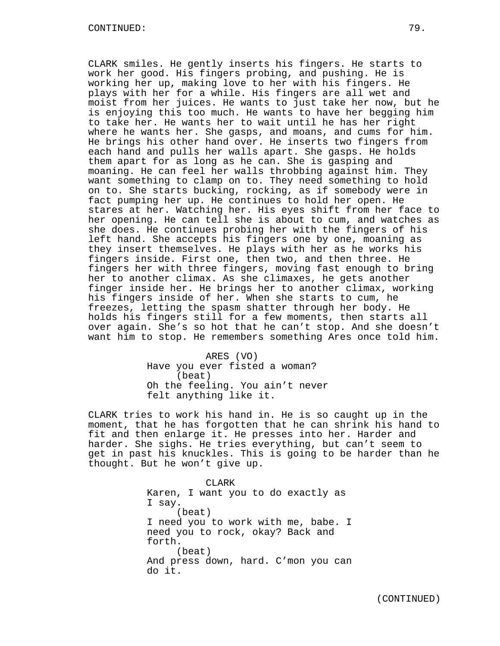CLARK smiles. He gently inserts his fingers. He starts to work her good. His fingers probing, and pushing. He is working her up, making love to her with his fingers. He plays with her for a while. His fingers are all wet and moist from her juices. He wants to just take her now, but he is enjoying this too much. He wants to have her begging him to take her. He wants her to wait until he has her right where he wants her. She gasps, and moans, and cums for him. He brings his other hand over. He inserts two fingers from each hand and pulls her walls apart. She gasps. He holds them apart for as long as he can. She is gasping and moaning. He can feel her walls throbbing against him. They want something to clamp on to. They need something to hold on to. She starts bucking, rocking, as if somebody were in fact pumping her up. He continues to hold her open. He stares at her. Watching her. His eyes shift from her face to her opening. He can tell she is about to cum, and watches as she does. He continues probing her with the fingers of his left hand. She accepts his fingers one by one, moaning as they insert themselves. He plays with her as he works his fingers inside. First one, then two, and then three. He fingers her with three fingers, moving fast enough to bring her to another climax. As she climaxes, he gets another finger inside her. He brings her to another climax, working his fingers inside of her. When she starts to cum, he freezes, letting the spasm shatter through her body. He holds his fingers still for a few moments, then starts all over again. She's so hot that he can't stop. And she doesn't want him to stop. He remembers something Ares once told him.

> ARES (VO) Have you ever fisted a woman? (beat) Oh the feeling. You ain't never felt anything like it.

CLARK tries to work his hand in. He is so caught up in the moment, that he has forgotten that he can shrink his hand to fit and then enlarge it. He presses into her. Harder and harder. She sighs. He tries everything, but can't seem to get in past his knuckles. This is going to be harder than he thought. But he won't give up.

> CLARK Karen, I want you to do exactly as I say. (beat) I need you to work with me, babe. I need you to rock, okay? Back and forth. (beat) And press down, hard. C'mon you can do it.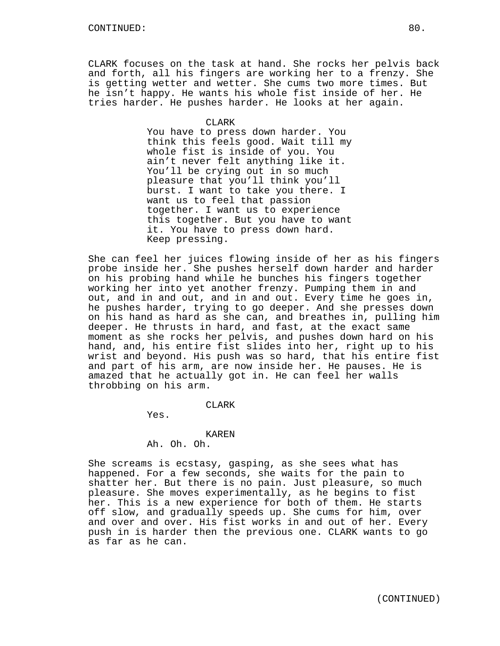CLARK focuses on the task at hand. She rocks her pelvis back and forth, all his fingers are working her to a frenzy. She is getting wetter and wetter. She cums two more times. But he isn't happy. He wants his whole fist inside of her. He tries harder. He pushes harder. He looks at her again.

### CLARK

You have to press down harder. You think this feels good. Wait till my whole fist is inside of you. You ain't never felt anything like it. You'll be crying out in so much pleasure that you'll think you'll burst. I want to take you there. I want us to feel that passion together. I want us to experience this together. But you have to want it. You have to press down hard. Keep pressing.

She can feel her juices flowing inside of her as his fingers probe inside her. She pushes herself down harder and harder on his probing hand while he bunches his fingers together working her into yet another frenzy. Pumping them in and out, and in and out, and in and out. Every time he goes in, he pushes harder, trying to go deeper. And she presses down on his hand as hard as she can, and breathes in, pulling him deeper. He thrusts in hard, and fast, at the exact same moment as she rocks her pelvis, and pushes down hard on his hand, and, his entire fist slides into her, right up to his wrist and beyond. His push was so hard, that his entire fist and part of his arm, are now inside her. He pauses. He is amazed that he actually got in. He can feel her walls throbbing on his arm.

### CLARK

Yes.

### KAREN

## Ah. Oh. Oh.

She screams is ecstasy, gasping, as she sees what has happened. For a few seconds, she waits for the pain to shatter her. But there is no pain. Just pleasure, so much pleasure. She moves experimentally, as he begins to fist her. This is a new experience for both of them. He starts off slow, and gradually speeds up. She cums for him, over and over and over. His fist works in and out of her. Every push in is harder then the previous one. CLARK wants to go as far as he can.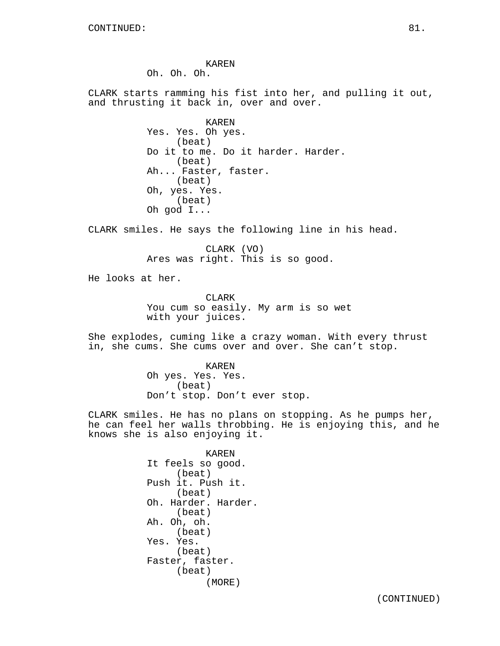KAREN Oh. Oh. Oh.

CLARK starts ramming his fist into her, and pulling it out, and thrusting it back in, over and over.

> KAREN Yes. Yes. Oh yes. (beat) Do it to me. Do it harder. Harder. (beat) Ah... Faster, faster. (beat) Oh, yes. Yes. (beat) Oh god I...

CLARK smiles. He says the following line in his head.

CLARK (VO) Ares was right. This is so good.

He looks at her.

**CLARK** You cum so easily. My arm is so wet with your juices.

She explodes, cuming like a crazy woman. With every thrust in, she cums. She cums over and over. She can't stop.

> KAREN Oh yes. Yes. Yes. (beat) Don't stop. Don't ever stop.

CLARK smiles. He has no plans on stopping. As he pumps her, he can feel her walls throbbing. He is enjoying this, and he knows she is also enjoying it.

> KAREN It feels so good. (beat) Push it. Push it. (beat) Oh. Harder. Harder. (beat) Ah. Oh, oh. (beat) Yes. Yes. (beat) Faster, faster. (beat) (MORE)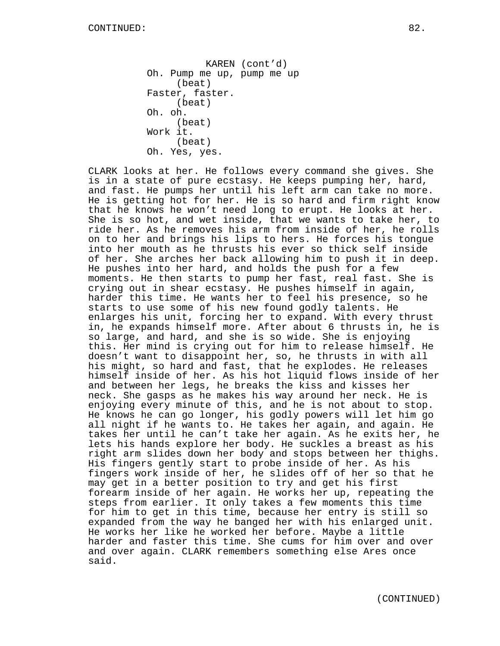KAREN (cont'd) Oh. Pump me up, pump me up (beat) Faster, faster. (beat) Oh. oh. (beat) Work it. (beat) Oh. Yes, yes.

CLARK looks at her. He follows every command she gives. She is in a state of pure ecstasy. He keeps pumping her, hard, and fast. He pumps her until his left arm can take no more. He is getting hot for her. He is so hard and firm right know that he knows he won't need long to erupt. He looks at her. She is so hot, and wet inside, that we wants to take her, to ride her. As he removes his arm from inside of her, he rolls on to her and brings his lips to hers. He forces his tongue into her mouth as he thrusts his ever so thick self inside of her. She arches her back allowing him to push it in deep. He pushes into her hard, and holds the push for a few moments. He then starts to pump her fast, real fast. She is crying out in shear ecstasy. He pushes himself in again, harder this time. He wants her to feel his presence, so he starts to use some of his new found godly talents. He enlarges his unit, forcing her to expand. With every thrust in, he expands himself more. After about 6 thrusts in, he is so large, and hard, and she is so wide. She is enjoying this. Her mind is crying out for him to release himself. He doesn't want to disappoint her, so, he thrusts in with all his might, so hard and fast, that he explodes. He releases himself inside of her. As his hot liquid flows inside of her and between her legs, he breaks the kiss and kisses her neck. She gasps as he makes his way around her neck. He is enjoying every minute of this, and he is not about to stop. He knows he can go longer, his godly powers will let him go all night if he wants to. He takes her again, and again. He takes her until he can't take her again. As he exits her, he lets his hands explore her body. He suckles a breast as his right arm slides down her body and stops between her thighs. His fingers gently start to probe inside of her. As his fingers work inside of her, he slides off of her so that he may get in a better position to try and get his first forearm inside of her again. He works her up, repeating the steps from earlier. It only takes a few moments this time for him to get in this time, because her entry is still so expanded from the way he banged her with his enlarged unit. He works her like he worked her before. Maybe a little harder and faster this time. She cums for him over and over and over again. CLARK remembers something else Ares once said.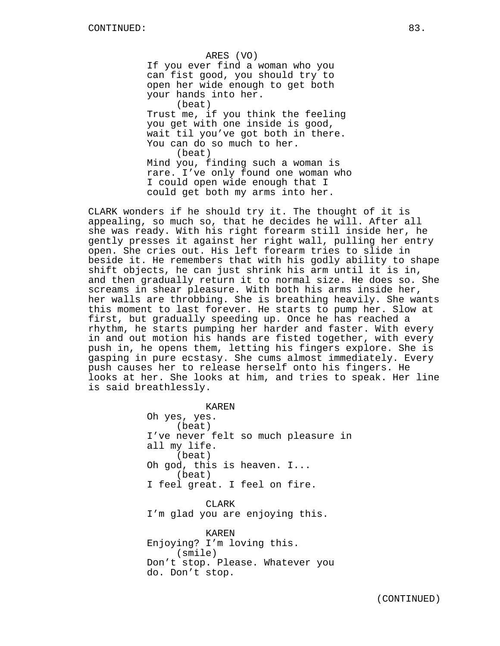ARES (VO) If you ever find a woman who you can fist good, you should try to open her wide enough to get both your hands into her. (beat) Trust me, if you think the feeling you get with one inside is good, wait til you've got both in there. You can do so much to her. (beat) Mind you, finding such a woman is rare. I've only found one woman who I could open wide enough that I could get both my arms into her.

CLARK wonders if he should try it. The thought of it is appealing, so much so, that he decides he will. After all she was ready. With his right forearm still inside her, he gently presses it against her right wall, pulling her entry open. She cries out. His left forearm tries to slide in beside it. He remembers that with his godly ability to shape shift objects, he can just shrink his arm until it is in, and then gradually return it to normal size. He does so. She screams in shear pleasure. With both his arms inside her, her walls are throbbing. She is breathing heavily. She wants this moment to last forever. He starts to pump her. Slow at first, but gradually speeding up. Once he has reached a rhythm, he starts pumping her harder and faster. With every in and out motion his hands are fisted together, with every push in, he opens them, letting his fingers explore. She is gasping in pure ecstasy. She cums almost immediately. Every push causes her to release herself onto his fingers. He looks at her. She looks at him, and tries to speak. Her line is said breathlessly.

> KAREN Oh yes, yes. (beat) I've never felt so much pleasure in all my life. (beat) Oh god, this is heaven. I... (beat) I feel great. I feel on fire.

CLARK I'm glad you are enjoying this.

KAREN Enjoying? I'm loving this. (smile) Don't stop. Please. Whatever you do. Don't stop.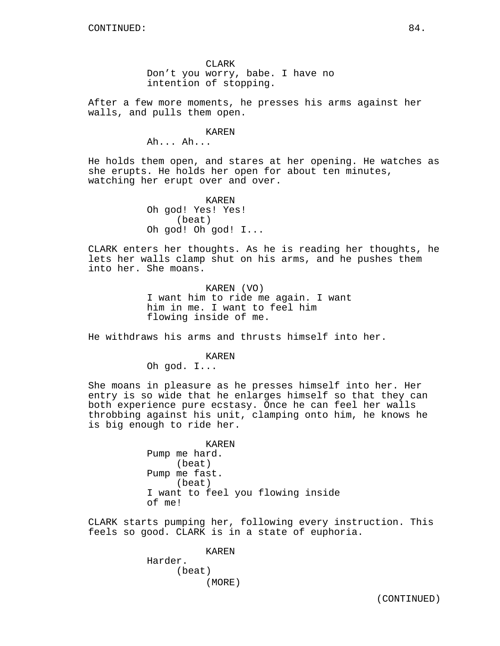CLARK Don't you worry, babe. I have no intention of stopping.

After a few more moments, he presses his arms against her walls, and pulls them open.

KAREN

Ah... Ah...

He holds them open, and stares at her opening. He watches as she erupts. He holds her open for about ten minutes, watching her erupt over and over.

> KAREN Oh god! Yes! Yes! (beat) Oh god! Oh god! I...

CLARK enters her thoughts. As he is reading her thoughts, he lets her walls clamp shut on his arms, and he pushes them into her. She moans.

> KAREN (VO) I want him to ride me again. I want him in me. I want to feel him flowing inside of me.

He withdraws his arms and thrusts himself into her.

KAREN

Oh god. I...

She moans in pleasure as he presses himself into her. Her entry is so wide that he enlarges himself so that they can both experience pure ecstasy. Once he can feel her walls throbbing against his unit, clamping onto him, he knows he is big enough to ride her.

KAREN

Pump me hard. (beat) Pump me fast. (beat) I want to feel you flowing inside of me!

CLARK starts pumping her, following every instruction. This feels so good. CLARK is in a state of euphoria.

> KAREN Harder. (beat) (MORE)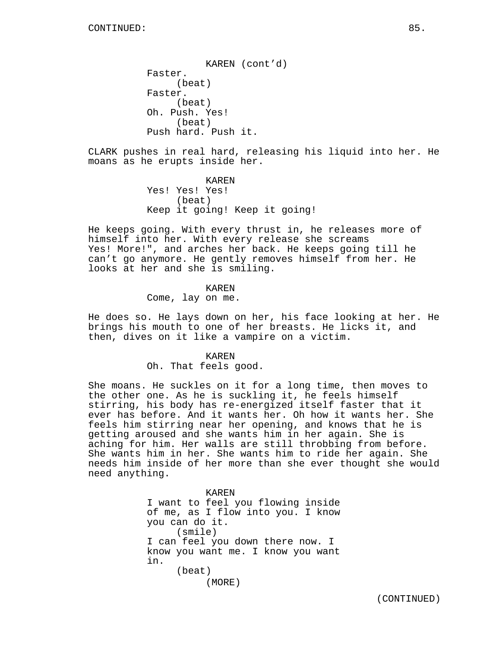KAREN (cont'd) Faster. (beat) Faster. (beat) Oh. Push. Yes! (beat) Push hard. Push it.

CLARK pushes in real hard, releasing his liquid into her. He moans as he erupts inside her.

> KAREN Yes! Yes! Yes! (beat) Keep it going! Keep it going!

He keeps going. With every thrust in, he releases more of himself into her. With every release she screams Yes! More!", and arches her back. He keeps going till he can't go anymore. He gently removes himself from her. He looks at her and she is smiling.

### KAREN

Come, lay on me.

He does so. He lays down on her, his face looking at her. He brings his mouth to one of her breasts. He licks it, and then, dives on it like a vampire on a victim.

#### KAREN

Oh. That feels good.

She moans. He suckles on it for a long time, then moves to the other one. As he is suckling it, he feels himself stirring, his body has re-energized itself faster that it ever has before. And it wants her. Oh how it wants her. She feels him stirring near her opening, and knows that he is getting aroused and she wants him in her again. She is aching for him. Her walls are still throbbing from before. She wants him in her. She wants him to ride her again. She needs him inside of her more than she ever thought she would need anything.

> KAREN I want to feel you flowing inside of me, as I flow into you. I know you can do it. (smile) I can feel you down there now. I know you want me. I know you want in. (beat) (MORE)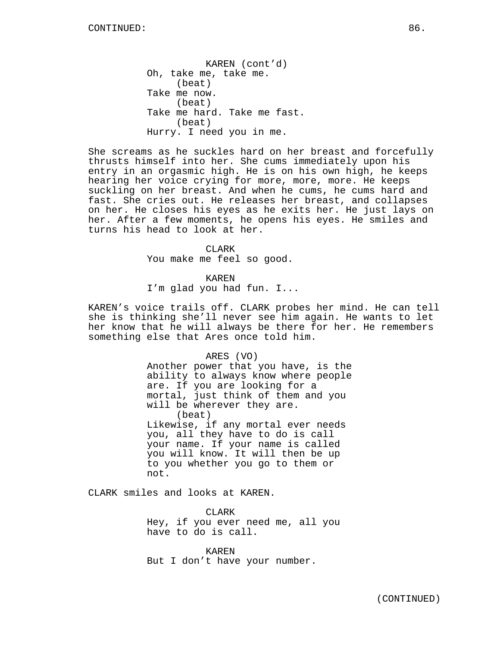KAREN (cont'd) Oh, take me, take me. (beat) Take me now. (beat) Take me hard. Take me fast. (beat) Hurry. I need you in me.

She screams as he suckles hard on her breast and forcefully thrusts himself into her. She cums immediately upon his entry in an orgasmic high. He is on his own high, he keeps hearing her voice crying for more, more, more. He keeps suckling on her breast. And when he cums, he cums hard and fast. She cries out. He releases her breast, and collapses on her. He closes his eyes as he exits her. He just lays on her. After a few moments, he opens his eyes. He smiles and turns his head to look at her.

> CLARK You make me feel so good.

> > KAREN

I'm glad you had fun. I...

KAREN's voice trails off. CLARK probes her mind. He can tell she is thinking she'll never see him again. He wants to let her know that he will always be there for her. He remembers something else that Ares once told him.

> ARES (VO) Another power that you have, is the ability to always know where people are. If you are looking for a mortal, just think of them and you will be wherever they are. (beat) Likewise, if any mortal ever needs you, all they have to do is call your name. If your name is called you will know. It will then be up to you whether you go to them or not.

CLARK smiles and looks at KAREN.

CLARK Hey, if you ever need me, all you have to do is call.

KAREN But I don't have your number.